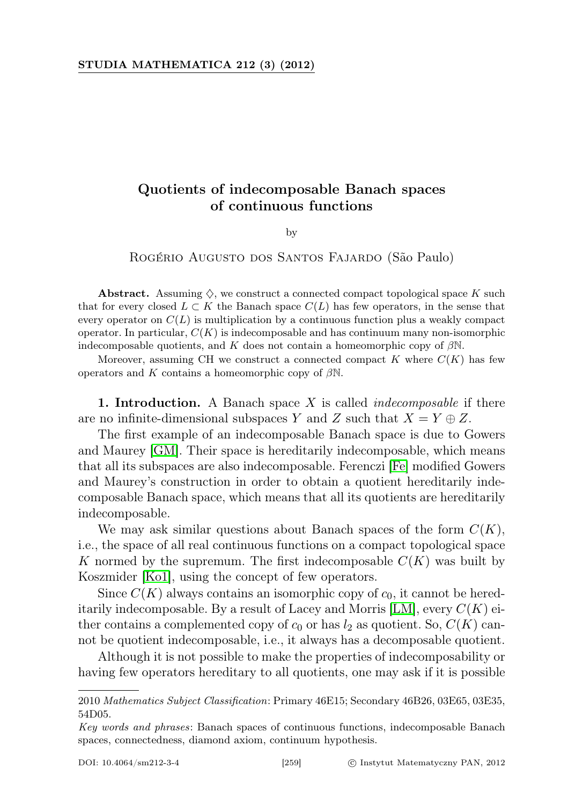## Quotients of indecomposable Banach spaces of continuous functions

by

Rogério Augusto dos Santos Fajardo (São Paulo)

Abstract. Assuming  $\diamondsuit$ , we construct a connected compact topological space K such that for every closed  $L \subset K$  the Banach space  $C(L)$  has few operators, in the sense that every operator on  $C(L)$  is multiplication by a continuous function plus a weakly compact operator. In particular,  $C(K)$  is indecomposable and has continuum many non-isomorphic indecomposable quotients, and K does not contain a homeomorphic copy of  $\beta$ N.

Moreover, assuming CH we construct a connected compact  $K$  where  $C(K)$  has few operators and K contains a homeomorphic copy of  $\beta\mathbb{N}$ .

**1. Introduction.** A Banach space X is called *indecomposable* if there are no infinite-dimensional subspaces Y and Z such that  $X = Y \oplus Z$ .

The first example of an indecomposable Banach space is due to Gowers and Maurey [\[GM\]](#page-24-0). Their space is hereditarily indecomposable, which means that all its subspaces are also indecomposable. Ferenczi [\[Fe\]](#page-24-1) modified Gowers and Maurey's construction in order to obtain a quotient hereditarily indecomposable Banach space, which means that all its quotients are hereditarily indecomposable.

We may ask similar questions about Banach spaces of the form  $C(K)$ , i.e., the space of all real continuous functions on a compact topological space K normed by the supremum. The first indecomposable  $C(K)$  was built by Koszmider [\[Ko1\]](#page-24-2), using the concept of few operators.

Since  $C(K)$  always contains an isomorphic copy of  $c_0$ , it cannot be hereditarily indecomposable. By a result of Lacey and Morris  $[LM]$ , every  $C(K)$  either contains a complemented copy of  $c_0$  or has  $l_2$  as quotient. So,  $C(K)$  cannot be quotient indecomposable, i.e., it always has a decomposable quotient.

Although it is not possible to make the properties of indecomposability or having few operators hereditary to all quotients, one may ask if it is possible

<sup>2010</sup> Mathematics Subject Classification: Primary 46E15; Secondary 46B26, 03E65, 03E35, 54D05.

Key words and phrases: Banach spaces of continuous functions, indecomposable Banach spaces, connectedness, diamond axiom, continuum hypothesis.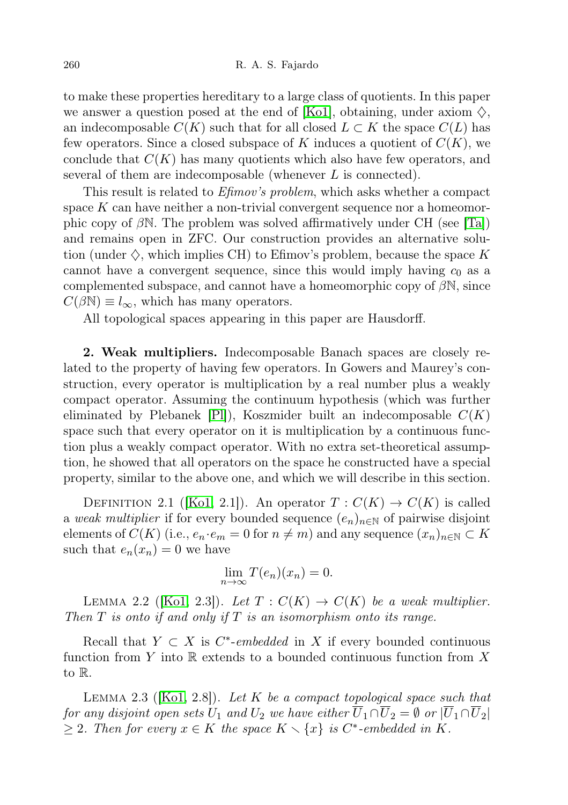to make these properties hereditary to a large class of quotients. In this paper we answer a question posed at the end of [\[Ko1\]](#page-24-2), obtaining, under axiom  $\diamondsuit$ , an indecomposable  $C(K)$  such that for all closed  $L \subset K$  the space  $C(L)$  has few operators. Since a closed subspace of K induces a quotient of  $C(K)$ , we conclude that  $C(K)$  has many quotients which also have few operators, and several of them are indecomposable (whenever L is connected).

This result is related to *Efimov's problem*, which asks whether a compact space  $K$  can have neither a non-trivial convergent sequence nor a homeomorphic copy of  $\beta N$ . The problem was solved affirmatively under CH (see [\[Ta\]](#page-24-4)) and remains open in ZFC. Our construction provides an alternative solution (under  $\diamondsuit$ , which implies CH) to Efimov's problem, because the space K cannot have a convergent sequence, since this would imply having  $c_0$  as a complemented subspace, and cannot have a homeomorphic copy of  $\beta N$ , since  $C(\beta N) \equiv l_{\infty}$ , which has many operators.

All topological spaces appearing in this paper are Hausdorff.

2. Weak multipliers. Indecomposable Banach spaces are closely related to the property of having few operators. In Gowers and Maurey's construction, every operator is multiplication by a real number plus a weakly compact operator. Assuming the continuum hypothesis (which was further eliminated by Plebanek  $[Pl]$ ), Koszmider built an indecomposable  $C(K)$ space such that every operator on it is multiplication by a continuous function plus a weakly compact operator. With no extra set-theoretical assumption, he showed that all operators on the space he constructed have a special property, similar to the above one, and which we will describe in this section.

DEFINITION 2.1 ([\[Ko1,](#page-24-2) 2.1]). An operator  $T: C(K) \to C(K)$  is called a weak multiplier if for every bounded sequence  $(e_n)_{n\in\mathbb{N}}$  of pairwise disjoint elements of  $C(K)$  (i.e.,  $e_n \cdot e_m = 0$  for  $n \neq m$ ) and any sequence  $(x_n)_{n \in \mathbb{N}} \subset K$ such that  $e_n(x_n) = 0$  we have

$$
\lim_{n \to \infty} T(e_n)(x_n) = 0.
$$

<span id="page-1-2"></span>LEMMA 2.2 ([\[Ko1,](#page-24-2) 2.3]). Let  $T: C(K) \to C(K)$  be a weak multiplier. Then  $T$  is onto if and only if  $T$  is an isomorphism onto its range.

Recall that  $Y \subset X$  is  $C^*$ -embedded in X if every bounded continuous function from Y into  $\mathbb R$  extends to a bounded continuous function from X to R.

<span id="page-1-1"></span><span id="page-1-0"></span>LEMMA 2.3 ( $[Ko1, 2.8]$  $[Ko1, 2.8]$ ). Let K be a compact topological space such that for any disjoint open sets  $U_1$  and  $U_2$  we have either  $\overline{U}_1 \cap \overline{U}_2 = \emptyset$  or  $|\overline{U}_1 \cap \overline{U}_2|$  $\geq 2$ . Then for every  $x \in K$  the space  $K \setminus \{x\}$  is C<sup>\*</sup>-embedded in K.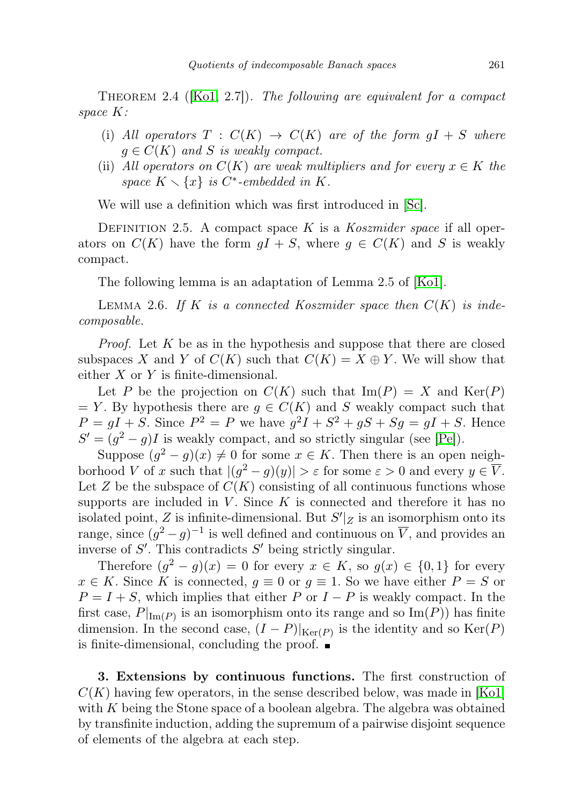THEOREM 2.4 ( $[Ko1, 2.7]$  $[Ko1, 2.7]$ ). The following are equivalent for a compact space K:

- (i) All operators  $T : C(K) \rightarrow C(K)$  are of the form  $gI + S$  where  $q \in C(K)$  and S is weakly compact.
- (ii) All operators on  $C(K)$  are weak multipliers and for every  $x \in K$  the space  $K \setminus \{x\}$  is  $C^*$ -embedded in K.

We will use a definition which was first introduced in [\[Sc\]](#page-24-6).

DEFINITION 2.5. A compact space K is a Koszmider space if all operators on  $C(K)$  have the form  $gI + S$ , where  $g \in C(K)$  and S is weakly compact.

The following lemma is an adaptation of Lemma 2.5 of [\[Ko1\]](#page-24-2).

<span id="page-2-0"></span>LEMMA 2.6. If K is a connected Koszmider space then  $C(K)$  is indecomposable.

*Proof.* Let  $K$  be as in the hypothesis and suppose that there are closed subspaces X and Y of  $C(K)$  such that  $C(K) = X \oplus Y$ . We will show that either  $X$  or  $Y$  is finite-dimensional.

Let P be the projection on  $C(K)$  such that  $\text{Im}(P) = X$  and  $\text{Ker}(P)$  $= Y$ . By hypothesis there are  $g \in C(K)$  and S weakly compact such that  $P = gI + S$ . Since  $P^2 = P$  we have  $g^2I + S^2 + gS + Sg = gI + S$ . Hence  $S' = (g^2 - g)I$  is weakly compact, and so strictly singular (see [\[Pe\]](#page-24-7)).

Suppose  $(g^2 - g)(x) \neq 0$  for some  $x \in K$ . Then there is an open neighborhood V of x such that  $|(g^2 - g)(y)| > \varepsilon$  for some  $\varepsilon > 0$  and every  $y \in \overline{V}$ . Let Z be the subspace of  $C(K)$  consisting of all continuous functions whose supports are included in  $V$ . Since  $K$  is connected and therefore it has no isolated point, Z is infinite-dimensional. But  $S'|_Z$  is an isomorphism onto its range, since  $(g^2 - g)^{-1}$  is well defined and continuous on  $\overline{V}$ , and provides an inverse of  $S'$ . This contradicts  $S'$  being strictly singular.

Therefore  $(g^2 - g)(x) = 0$  for every  $x \in K$ , so  $g(x) \in \{0,1\}$  for every  $x \in K$ . Since K is connected,  $g \equiv 0$  or  $g \equiv 1$ . So we have either  $P = S$  or  $P = I + S$ , which implies that either P or  $I - P$  is weakly compact. In the first case,  $P|_{\text{Im}(P)}$  is an isomorphism onto its range and so  $\text{Im}(P)$ ) has finite dimension. In the second case,  $(I - P)|_{\text{Ker}(P)}$  is the identity and so  $\text{Ker}(P)$ is finite-dimensional, concluding the proof.

3. Extensions by continuous functions. The first construction of  $C(K)$  having few operators, in the sense described below, was made in [\[Ko1\]](#page-24-2) with K being the Stone space of a boolean algebra. The algebra was obtained by transfinite induction, adding the supremum of a pairwise disjoint sequence of elements of the algebra at each step.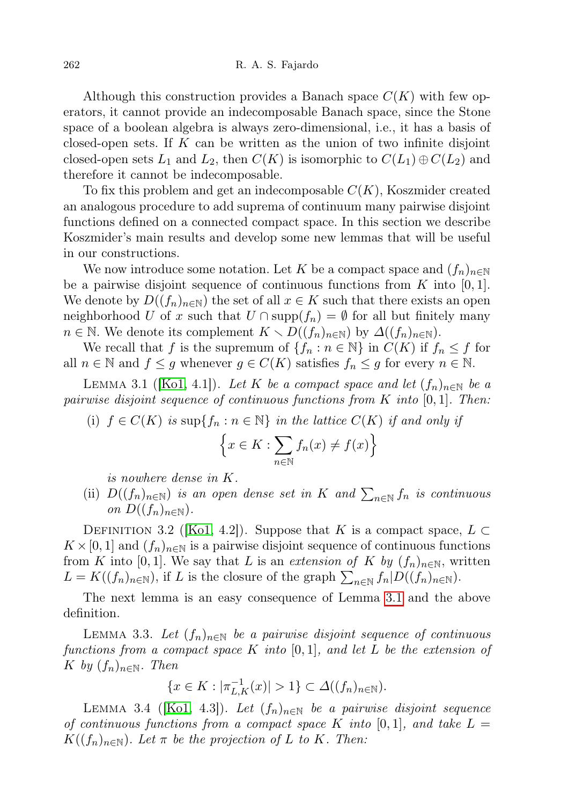Although this construction provides a Banach space  $C(K)$  with few operators, it cannot provide an indecomposable Banach space, since the Stone space of a boolean algebra is always zero-dimensional, i.e., it has a basis of closed-open sets. If  $K$  can be written as the union of two infinite disjoint closed-open sets  $L_1$  and  $L_2$ , then  $C(K)$  is isomorphic to  $C(L_1) \oplus C(L_2)$  and therefore it cannot be indecomposable.

To fix this problem and get an indecomposable  $C(K)$ , Koszmider created an analogous procedure to add suprema of continuum many pairwise disjoint functions defined on a connected compact space. In this section we describe Koszmider's main results and develop some new lemmas that will be useful in our constructions.

We now introduce some notation. Let K be a compact space and  $(f_n)_{n\in\mathbb{N}}$ be a pairwise disjoint sequence of continuous functions from  $K$  into [0, 1]. We denote by  $D((f_n)_{n\in\mathbb{N}})$  the set of all  $x \in K$  such that there exists an open neighborhood U of x such that  $U \cap \text{supp}(f_n) = \emptyset$  for all but finitely many  $n \in \mathbb{N}$ . We denote its complement  $K \setminus D((f_n)_{n \in \mathbb{N}})$  by  $\Delta((f_n)_{n \in \mathbb{N}})$ .

We recall that f is the supremum of  $\{f_n : n \in \mathbb{N}\}\$ in  $C(K)$  if  $f_n \leq f$  for all  $n \in \mathbb{N}$  and  $f \leq g$  whenever  $g \in C(K)$  satisfies  $f_n \leq g$  for every  $n \in \mathbb{N}$ .

<span id="page-3-0"></span>LEMMA 3.1 ([\[Ko1,](#page-24-2) 4.1]). Let K be a compact space and let  $(f_n)_{n\in\mathbb{N}}$  be a pairwise disjoint sequence of continuous functions from K into  $[0, 1]$ . Then:

(i)  $f \in C(K)$  is sup $\{f_n : n \in \mathbb{N}\}\$ in the lattice  $C(K)$  if and only if

$$
\left\{x \in K : \sum_{n \in \mathbb{N}} f_n(x) \neq f(x)\right\}
$$

is nowhere dense in K.

(ii)  $D((f_n)_{n\in\mathbb{N}})$  is an open dense set in K and  $\sum_{n\in\mathbb{N}}f_n$  is continuous on  $D((f_n)_{n\in\mathbb{N}})$ .

DEFINITION 3.2 ([\[Ko1,](#page-24-2) 4.2]). Suppose that K is a compact space,  $L \subset$  $K \times [0, 1]$  and  $(f_n)_{n \in \mathbb{N}}$  is a pairwise disjoint sequence of continuous functions from K into [0,1]. We say that L is an extension of K by  $(f_n)_{n\in\mathbb{N}}$ , written  $L = K((f_n)_{n \in \mathbb{N}})$ , if L is the closure of the graph  $\sum_{n \in \mathbb{N}} f_n |D((f_n)_{n \in \mathbb{N}})$ .

The next lemma is an easy consequence of Lemma [3.1](#page-3-0) and the above definition.

<span id="page-3-2"></span>LEMMA 3.3. Let  $(f_n)_{n\in\mathbb{N}}$  be a pairwise disjoint sequence of continuous functions from a compact space K into  $[0, 1]$ , and let L be the extension of K by  $(f_n)_{n \in \mathbb{N}}$ . Then

$$
\{x\in K:|\pi_{L,K}^{-1}(x)|>1\}\subset\varDelta((f_n)_{n\in\mathbb{N}}).
$$

<span id="page-3-1"></span>LEMMA 3.4 ([\[Ko1,](#page-24-2) 4.3]). Let  $(f_n)_{n\in\mathbb{N}}$  be a pairwise disjoint sequence of continuous functions from a compact space K into  $[0, 1]$ , and take  $L =$  $K((f_n)_{n\in\mathbb{N}})$ . Let  $\pi$  be the projection of L to K. Then: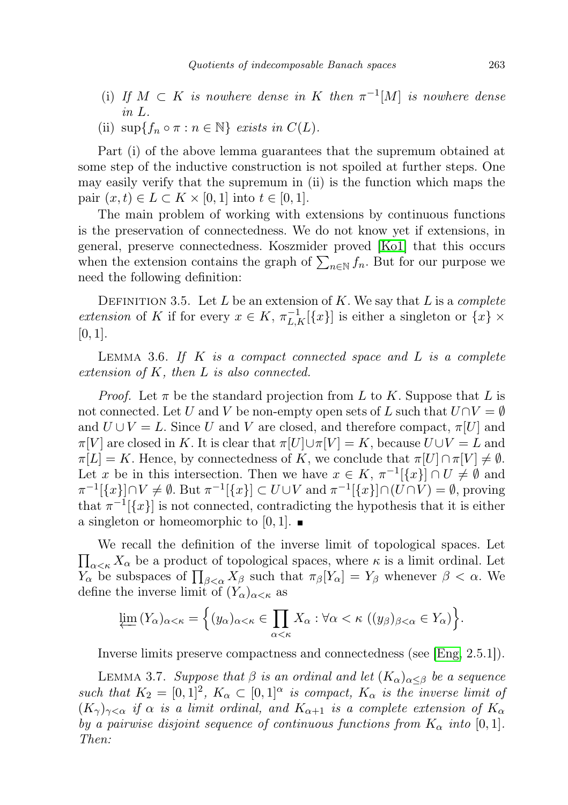- (i) If  $M \subset K$  is nowhere dense in K then  $\pi^{-1}[M]$  is nowhere dense in L.
- (ii)  $\sup\{f_n \circ \pi : n \in \mathbb{N}\}\$ exists in  $C(L)$ .

Part (i) of the above lemma guarantees that the supremum obtained at some step of the inductive construction is not spoiled at further steps. One may easily verify that the supremum in (ii) is the function which maps the pair  $(x, t) \in L \subset K \times [0, 1]$  into  $t \in [0, 1]$ .

The main problem of working with extensions by continuous functions is the preservation of connectedness. We do not know yet if extensions, in general, preserve connectedness. Koszmider proved [\[Ko1\]](#page-24-2) that this occurs when the extension contains the graph of  $\sum_{n\in\mathbb{N}}f_n$ . But for our purpose we need the following definition:

DEFINITION 3.5. Let L be an extension of K. We say that L is a complete extension of K if for every  $x \in K$ ,  $\pi_{L,K}^{-1}[\lbrace x \rbrace]$  is either a singleton or  $\lbrace x \rbrace \times$  $[0, 1].$ 

<span id="page-4-0"></span>LEMMA 3.6. If  $K$  is a compact connected space and  $L$  is a complete extension of K, then L is also connected.

*Proof.* Let  $\pi$  be the standard projection from L to K. Suppose that L is not connected. Let U and V be non-empty open sets of L such that  $U \cap V = \emptyset$ and  $U \cup V = L$ . Since U and V are closed, and therefore compact,  $\pi[U]$  and  $\pi[V]$  are closed in K. It is clear that  $\pi[U]\cup \pi[V] = K$ , because  $U\cup V = L$  and  $\pi[L] = K$ . Hence, by connectedness of K, we conclude that  $\pi[U] \cap \pi[V] \neq \emptyset$ . Let x be in this intersection. Then we have  $x \in K$ ,  $\pi^{-1}[\{x\}] \cap U \neq \emptyset$  and  $\pi^{-1}[\{x\}] \cap V \neq \emptyset$ . But  $\pi^{-1}[\{x\}] \subset U \cup V$  and  $\pi^{-1}[\{x\}] \cap (U \cap V) = \emptyset$ , proving that  $\pi^{-1}[\lbrace x \rbrace]$  is not connected, contradicting the hypothesis that it is either a singleton or homeomorphic to  $[0, 1]$ .

 $\prod_{\alpha<\kappa}X_{\alpha}$  be a product of topological spaces, where  $\kappa$  is a limit ordinal. Let We recall the definition of the inverse limit of topological spaces. Let  $Y_{\alpha}$  be subspaces of  $\prod_{\beta<\alpha}X_{\beta}$  such that  $\pi_{\beta}[Y_{\alpha}]=Y_{\beta}$  whenever  $\beta<\alpha$ . We define the inverse limit of  $(Y_\alpha)_{\alpha<\kappa}$  as

$$
\varprojlim (Y_{\alpha})_{\alpha<\kappa} = \Big\{ (y_{\alpha})_{\alpha<\kappa} \in \prod_{\alpha<\kappa} X_{\alpha} : \forall \alpha<\kappa \ ((y_{\beta})_{\beta<\alpha} \in Y_{\alpha}) \Big\}.
$$

Inverse limits preserve compactness and connectedness (see [\[Eng,](#page-24-8) 2.5.1]).

<span id="page-4-1"></span>LEMMA 3.7. Suppose that  $\beta$  is an ordinal and let  $(K_{\alpha})_{\alpha<\beta}$  be a sequence such that  $K_2 = [0,1]^2$ ,  $K_\alpha \subset [0,1]^\alpha$  is compact,  $K_\alpha$  is the inverse limit of  $(K_{\gamma})_{\gamma<\alpha}$  if  $\alpha$  is a limit ordinal, and  $K_{\alpha+1}$  is a complete extension of  $K_{\alpha}$ by a pairwise disjoint sequence of continuous functions from  $K_{\alpha}$  into [0, 1]. Then: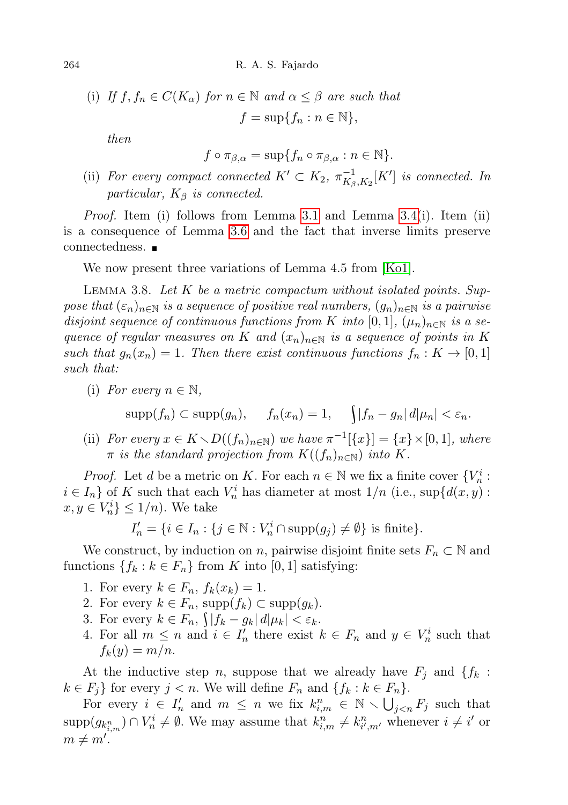264 R. A. S. Fajardo

(i) If  $f, f_n \in C(K_\alpha)$  for  $n \in \mathbb{N}$  and  $\alpha \leq \beta$  are such that  $f = \sup\{f_n : n \in \mathbb{N}\},\$ 

then

$$
f \circ \pi_{\beta,\alpha} = \sup \{ f_n \circ \pi_{\beta,\alpha} : n \in \mathbb{N} \}.
$$

(ii) For every compact connected  $K' \subset K_2$ ,  $\pi_{K_2}^{-1}$  $\frac{1}{K_{\beta},K_2}[K']$  is connected. In particular,  $K_{\beta}$  is connected.

Proof. Item (i) follows from Lemma [3.1](#page-3-0) and Lemma [3.4\(](#page-3-1)i). Item (ii) is a consequence of Lemma [3.6](#page-4-0) and the fact that inverse limits preserve connectedness.

We now present three variations of Lemma 4.5 from [\[Ko1\]](#page-24-2).

<span id="page-5-0"></span>LEMMA 3.8. Let  $K$  be a metric compactum without isolated points. Suppose that  $(\varepsilon_n)_{n\in\mathbb{N}}$  is a sequence of positive real numbers,  $(g_n)_{n\in\mathbb{N}}$  is a pairwise disjoint sequence of continuous functions from K into  $[0,1]$ ,  $(\mu_n)_{n\in\mathbb{N}}$  is a sequence of regular measures on K and  $(x_n)_{n\in\mathbb{N}}$  is a sequence of points in K such that  $g_n(x_n) = 1$ . Then there exist continuous functions  $f_n : K \to [0,1]$ such that:

(i) For every  $n \in \mathbb{N}$ ,

$$
supp(f_n) \subset supp(g_n), \quad f_n(x_n) = 1, \quad \int |f_n - g_n| \, d|\mu_n| < \varepsilon_n.
$$

(ii) For every  $x \in K \setminus D((f_n)_{n \in \mathbb{N}})$  we have  $\pi^{-1}[\{x\}] = \{x\} \times [0, 1],$  where  $\pi$  is the standard projection from  $K((f_n)_{n\in\mathbb{N}})$  into K.

*Proof.* Let d be a metric on K. For each  $n \in \mathbb{N}$  we fix a finite cover  $\{V_n^i:$  $i \in I_n$  of K such that each  $V_n^i$  has diameter at most  $1/n$  (i.e., sup $\{d(x, y)$ ):  $x, y \in V_n^i$   $\leq 1/n$ ). We take

 $I'_n = \{i \in I_n : \{j \in \mathbb{N} : V_n^i \cap \text{supp}(g_j) \neq \emptyset\} \text{ is finite}\}.$ 

We construct, by induction on n, pairwise disjoint finite sets  $F_n \subset \mathbb{N}$  and functions  $\{f_k : k \in F_n\}$  from K into [0, 1] satisfying:

- 1. For every  $k \in F_n$ ,  $f_k(x_k) = 1$ .
- 2. For every  $k \in F_n$ , supp $(f_k) \subset \text{supp}(g_k)$ .
- 3. For every  $k \in F_n$ ,  $\int |f_k g_k| d|\mu_k| < \varepsilon_k$ .
- 4. For all  $m \leq n$  and  $i \in I_n'$  there exist  $k \in F_n$  and  $y \in V_n^i$  such that  $f_k(y) = m/n$ .

At the inductive step n, suppose that we already have  $F_i$  and  $\{f_k\}$ :  $k \in F_j$  for every  $j < n$ . We will define  $F_n$  and  $\{f_k : k \in F_n\}$ .

For every  $i \in I_n'$  and  $m \leq n$  we fix  $k_{i,m}^n \in \mathbb{N} \setminus \bigcup_{j < n} F_j$  such that  $\text{supp}(g_{k_{i,m}^n}) \cap V_n^i \neq \emptyset$ . We may assume that  $k_{i,m}^n \neq k_{i',m'}^n$  whenever  $i \neq i'$  or  $m \neq m'.$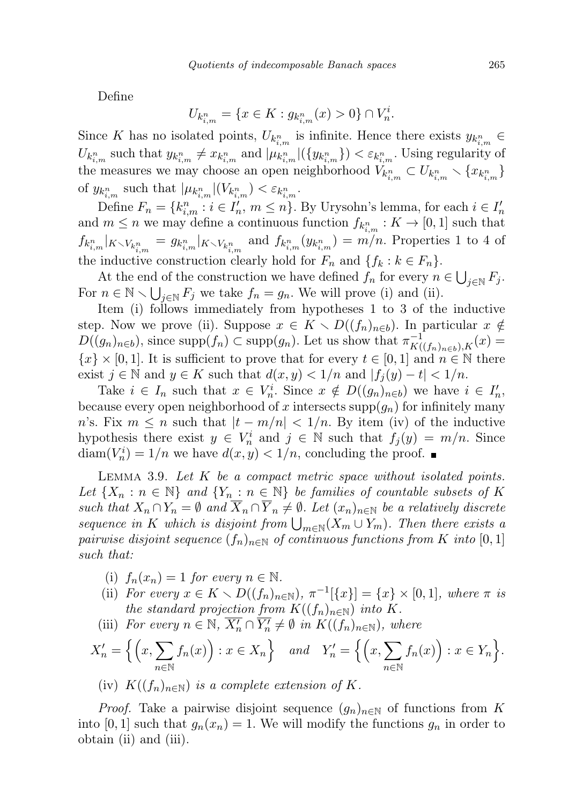Define

$$
U_{k_{i,m}^n} = \{ x \in K : g_{k_{i,m}^n}(x) > 0 \} \cap V_n^i.
$$

Since K has no isolated points,  $U_{k_{i,m}^n}$  is infinite. Hence there exists  $y_{k_{i,m}^n}$   $\in$  $U_{k_{i,m}^n}$  such that  $y_{k_{i,m}^n} \neq x_{k_{i,m}^n}$  and  $|\mu_{k_{i,m}^n}|(\{y_{k_{i,m}^n}\}) < \varepsilon_{k_{i,m}^n}$ . Using regularity of the measures we may choose an open neighborhood  $V_{k_{i,m}^n} \subset U_{k_{i,m}^n} \setminus \{x_{k_{i,m}^n}\}$ of  $y_{k_{i,m}^n}$  such that  $|\mu_{k_{i,m}^n}|(V_{k_{i,m}^n}) < \varepsilon_{k_{i,m}^n}$ .

Define  $F_n = \{k_{i,m}^n : i \in I'_n, m \leq n\}$ . By Urysohn's lemma, for each  $i \in I'_n$ and  $m \leq n$  we may define a continuous function  $f_{k_{i,m}^n}: K \to [0,1]$  such that  $f_{k_{i,m}^n}|_{K\setminus V_{k_{i,m}^n}}=g_{k_{i,m}^n}|_{K\setminus V_{k_{i,m}^n}}$  and  $f_{k_{i,m}^n}(y_{k_{i,m}^n})=m/n$ . Properties 1 to 4 of the inductive construction clearly hold for  $F_n$  and  $\{f_k : k \in F_n\}.$ 

At the end of the construction we have defined  $f_n$  for every  $n \in \bigcup_{j \in \mathbb{N}} F_j$ . For  $n \in \mathbb{N} \setminus \bigcup_{j \in \mathbb{N}} F_j$  we take  $f_n = g_n$ . We will prove (i) and (ii).

Item (i) follows immediately from hypotheses 1 to 3 of the inductive step. Now we prove (ii). Suppose  $x \in K \setminus D((f_n)_{n\in b})$ . In particular  $x \notin$  $D((g_n)_{n\in b})$ , since supp $(f_n) \subset \text{supp}(g_n)$ . Let us show that  $\pi_{K((f_n)_{n\in b}),K}^{-1}(x) =$  ${x} \times [0,1]$ . It is sufficient to prove that for every  $t \in [0,1]$  and  $n \in \mathbb{N}$  there exist  $j \in \mathbb{N}$  and  $y \in K$  such that  $d(x, y) < 1/n$  and  $|f_i(y) - t| < 1/n$ .

Take  $i \in I_n$  such that  $x \in V_n^i$ . Since  $x \notin D((g_n)_{n \in b})$  we have  $i \in I'_n$ , because every open neighborhood of x intersects supp $(g_n)$  for infinitely many n's. Fix  $m \leq n$  such that  $|t - m/n| < 1/n$ . By item (iv) of the inductive hypothesis there exist  $y \in V_n^i$  and  $j \in \mathbb{N}$  such that  $f_j(y) = m/n$ . Since  $\text{diam}(V_n^i) = 1/n$  we have  $d(x, y) < 1/n$ , concluding the proof.

<span id="page-6-0"></span>LEMMA 3.9. Let  $K$  be a compact metric space without isolated points. Let  $\{X_n : n \in \mathbb{N}\}\$  and  $\{Y_n : n \in \mathbb{N}\}\$  be families of countable subsets of K such that  $X_n \cap Y_n = \emptyset$  and  $\overline{X}_n \cap \overline{Y}_n \neq \emptyset$ . Let  $(x_n)_{n \in \mathbb{N}}$  be a relatively discrete sequence in K which is disjoint from  $\bigcup_{m\in\mathbb{N}} (X_m \cup Y_m)$ . Then there exists a pairwise disjoint sequence  $(f_n)_{n\in\mathbb{N}}$  of continuous functions from K into [0, 1] such that:

- (i)  $f_n(x_n) = 1$  for every  $n \in \mathbb{N}$ .
- (ii) For every  $x \in K \setminus D((f_n)_{n \in \mathbb{N}})$ ,  $\pi^{-1}[\{x\}] = \{x\} \times [0,1]$ , where  $\pi$  is the standard projection from  $K((f_n)_{n\in\mathbb{N}})$  into K.
- (iii) For every  $n \in \mathbb{N}$ ,  $\overline{X'_n} \cap \overline{Y'_n} \neq \emptyset$  in  $K((f_n)_{n \in \mathbb{N}})$ , where

$$
X'_n = \left\{ \left( x, \sum_{n \in \mathbb{N}} f_n(x) \right) : x \in X_n \right\} \quad \text{and} \quad Y'_n = \left\{ \left( x, \sum_{n \in \mathbb{N}} f_n(x) \right) : x \in Y_n \right\}.
$$

(iv)  $K((f_n)_{n\in\mathbb{N}})$  is a complete extension of K.

*Proof.* Take a pairwise disjoint sequence  $(g_n)_{n\in\mathbb{N}}$  of functions from K into [0, 1] such that  $g_n(x_n) = 1$ . We will modify the functions  $g_n$  in order to obtain (ii) and (iii).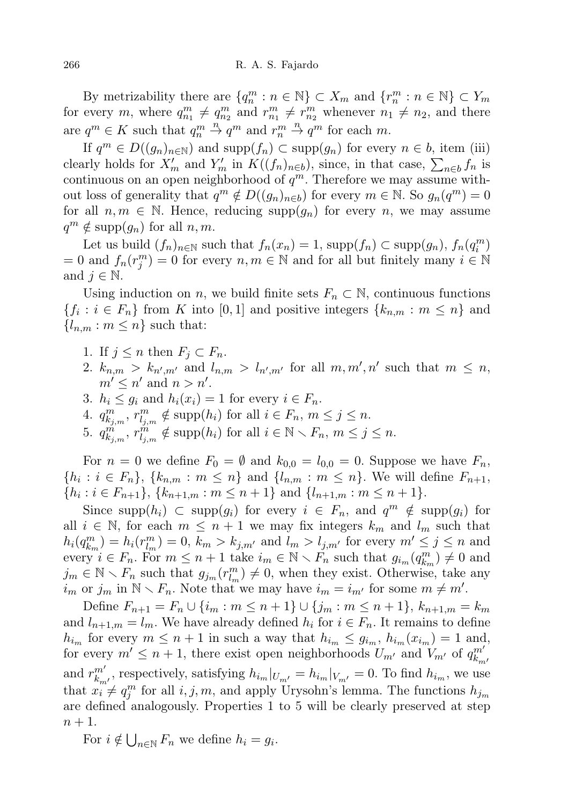By metrizability there are  $\{q_n^m : n \in \mathbb{N}\} \subset X_m$  and  $\{r_n^m : n \in \mathbb{N}\} \subset Y_m$ for every m, where  $q_{n_1}^m \neq q_{n_2}^m$  and  $r_{n_1}^m \neq r_{n_2}^m$  whenever  $n_1 \neq n_2$ , and there are  $q^m \in K$  such that  $q_n^m \stackrel{n}{\to} q^m$  and  $r_n^m \stackrel{n}{\to} q^m$  for each m.

If  $q^m \in D((g_n)_{n \in \mathbb{N}})$  and  $\text{supp}(f_n) \subset \text{supp}(g_n)$  for every  $n \in b$ , item (iii) clearly holds for  $X'_m$  and  $Y'_m$  in  $K((f_n)_{n\in b})$ , since, in that case,  $\sum_{n\in b} f_n$  is continuous on an open neighborhood of  $q^m$ . Therefore we may assume without loss of generality that  $q^m \notin D((g_n)_{n \in b})$  for every  $m \in \mathbb{N}$ . So  $g_n(q^m) = 0$ for all  $n, m \in \mathbb{N}$ . Hence, reducing supp $(q_n)$  for every n, we may assume  $q^m \notin \text{supp}(g_n)$  for all  $n, m$ .

Let us build  $(f_n)_{n \in \mathbb{N}}$  such that  $f_n(x_n) = 1$ , supp $(f_n) \subset \text{supp}(g_n)$ ,  $f_n(q_i^m)$  $= 0$  and  $f_n(r_j^m) = 0$  for every  $n, m \in \mathbb{N}$  and for all but finitely many  $i \in \mathbb{N}$ and  $j \in \mathbb{N}$ .

Using induction on n, we build finite sets  $F_n \subset \mathbb{N}$ , continuous functions  $\{f_i : i \in F_n\}$  from K into [0,1] and positive integers  $\{k_{n,m} : m \leq n\}$  and  ${l_{n,m}: m \leq n}$  such that:

- 1. If  $j \leq n$  then  $F_j \subset F_n$ .
- 2.  $k_{n,m} > k_{n',m'}$  and  $l_{n,m} > l_{n',m'}$  for all  $m, m', n'$  such that  $m \leq n$ ,  $m' \leq n'$  and  $n > n'$ .
- 3.  $h_i \leq g_i$  and  $h_i(x_i) = 1$  for every  $i \in F_n$ .
- 4.  $q_{k_{j,m}}^m$ ,  $r_{l_{j,m}}^m \notin \text{supp}(h_i)$  for all  $i \in F_n$ ,  $m \leq j \leq n$ .
- 5.  $q_{k_{j,m}}^{m}$ ,  $r_{l_{j,m}}^{m} \notin \text{supp}(h_i)$  for all  $i \in \mathbb{N} \setminus F_n$ ,  $m \leq j \leq n$ .

For  $n = 0$  we define  $F_0 = \emptyset$  and  $k_{0,0} = l_{0,0} = 0$ . Suppose we have  $F_n$ ,  $\{h_i : i \in F_n\}, \, \{k_{n,m} : m \leq n\} \text{ and } \{l_{n,m} : m \leq n\}.$  We will define  $F_{n+1}$ ,  $\{h_i : i \in F_{n+1}\}, \{k_{n+1,m} : m \leq n+1\} \text{ and } \{l_{n+1,m} : m \leq n+1\}.$ 

Since supp $(h_i) \subset \text{supp}(g_i)$  for every  $i \in F_n$ , and  $q^m \notin \text{supp}(g_i)$  for all  $i \in \mathbb{N}$ , for each  $m \leq n+1$  we may fix integers  $k_m$  and  $l_m$  such that  $h_i(q_{k_m}^m) = h_i(r_{l_m}^m) = 0, k_m > k_{j,m'}$  and  $l_m > l_{j,m'}$  for every  $m' \leq j \leq n$  and every  $i \in F_n$ . For  $m \leq n+1$  take  $i_m \in \mathbb{N} \setminus F_n$  such that  $g_{i_m}(q_{k_m}^m) \neq 0$  and  $j_m \in \mathbb{N} \setminus F_n$  such that  $g_{j_m}(r_{l_m}^m) \neq 0$ , when they exist. Otherwise, take any  $i_m$  or  $j_m$  in  $\mathbb{N} \setminus F_n$ . Note that we may have  $i_m = i_{m'}$  for some  $m \neq m'$ .

Define  $F_{n+1} = F_n \cup \{i_m : m \leq n+1\} \cup \{j_m : m \leq n+1\}, k_{n+1,m} = k_m$ and  $l_{n+1,m} = l_m$ . We have already defined  $h_i$  for  $i \in F_n$ . It remains to define  $h_{i_m}$  for every  $m \leq n+1$  in such a way that  $h_{i_m} \leq g_{i_m}$ ,  $h_{i_m}(x_{i_m}) = 1$  and, for every  $m' \leq n+1$ , there exist open neighborhoods  $U_{m'}$  and  $V_{m'}$  of  $q_{k}^{m'}$  $k_{m}$ and  $r_k^{m'}$  $\sum_{k_{m'}}^{m'}$ , respectively, satisfying  $h_{i_m}|_{U_{m'}} = h_{i_m}|_{V_{m'}} = 0$ . To find  $h_{i_m}$ , we use that  $x_i^m \neq q_j^m$  for all  $i, j, m$ , and apply Urysohn's lemma. The functions  $h_{j_m}$ are defined analogously. Properties 1 to 5 will be clearly preserved at step  $n+1$ .

For  $i \notin \bigcup_{n \in \mathbb{N}} F_n$  we define  $h_i = g_i$ .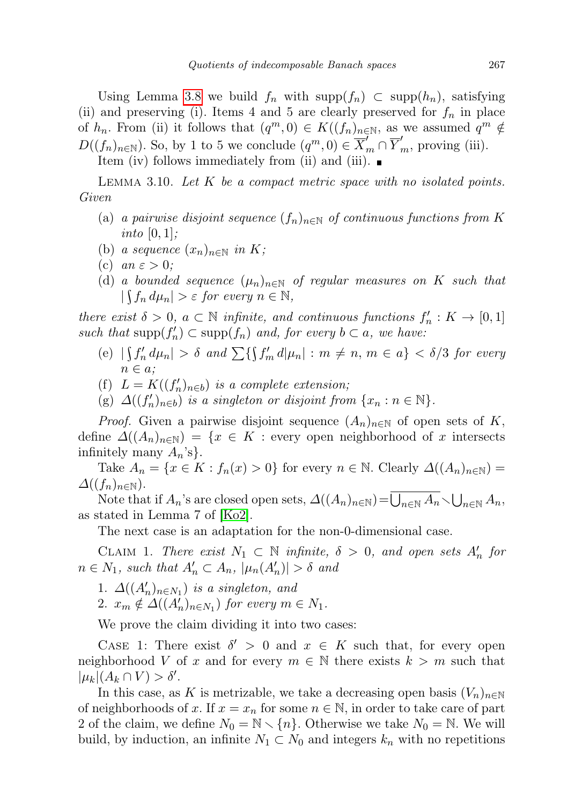Using Lemma [3.8](#page-5-0) we build  $f_n$  with supp $(f_n) \subset \text{supp}(h_n)$ , satisfying (ii) and preserving (i). Items 4 and 5 are clearly preserved for  $f_n$  in place of  $h_n$ . From (ii) it follows that  $(q^m, 0) \in K((f_n)_{n \in \mathbb{N}})$ , as we assumed  $q^m \notin$  $D((f_n)_{n\in\mathbb{N}})$ . So, by 1 to 5 we conclude  $(q^m, 0) \in \overline{X}_m^{\prime} \cap \overline{Y}_m^{\prime}$ , proving (iii).

Item (iv) follows immediately from (ii) and (iii).

<span id="page-8-0"></span>LEMMA 3.10. Let  $K$  be a compact metric space with no isolated points. Given

- (a) a pairwise disjoint sequence  $(f_n)_{n\in\mathbb{N}}$  of continuous functions from K into  $[0, 1]$ ;
- (b) a sequence  $(x_n)_{n\in\mathbb{N}}$  in K;
- (c) an  $\varepsilon > 0$ ;
- (d) a bounded sequence  $(\mu_n)_{n\in\mathbb{N}}$  of regular measures on K such that  $|\int f_n d\mu_n| > \varepsilon$  for every  $n \in \mathbb{N}$ ,

there exist  $\delta > 0$ ,  $a \subset \mathbb{N}$  infinite, and continuous functions  $f'_n : K \to [0,1]$ such that  $\text{supp}(f'_n) \subset \text{supp}(f_n)$  and, for every  $b \subset a$ , we have:

- (e)  $|\int f'_n d\mu_n| > \delta$  and  $\sum {\int f'_m d\mu_n| : m \neq n, m \in a} < \delta/3$  for every  $n \in a$ ;
- (f)  $L = K((f'_n)_{n \in b})$  is a complete extension;
- (g)  $\Delta((f'_n)_{n\in b})$  is a singleton or disjoint from  $\{x_n : n \in \mathbb{N}\}.$

*Proof.* Given a pairwise disjoint sequence  $(A_n)_{n\in\mathbb{N}}$  of open sets of K, define  $\Delta((A_n)_{n\in\mathbb{N}}) = \{x \in K : \text{every open neighborhood of } x \text{ intersects }\}$ infinitely many  $A_n$ 's}.

Take  $A_n = \{x \in K : f_n(x) > 0\}$  for every  $n \in \mathbb{N}$ . Clearly  $\Delta((A_n)_{n \in \mathbb{N}})$  $\Delta((f_n)_{n\in\mathbb{N}}).$ 

Note that if  $A_n$ 's are closed open sets,  $\Delta((A_n)_{n\in\mathbb{N}})=\overline{\bigcup_{n\in\mathbb{N}}A_n}\setminus\bigcup_{n\in\mathbb{N}}A_n$ , as stated in Lemma 7 of [\[Ko2\]](#page-24-9).

The next case is an adaptation for the non-0-dimensional case.

CLAIM 1. There exist  $N_1 \subset \mathbb{N}$  infinite,  $\delta > 0$ , and open sets  $A'_n$  for  $n \in N_1$ , such that  $A'_n \subset A_n$ ,  $|\mu_n(A'_n)| > \delta$  and

- 1.  $\Delta((A'_n)_{n\in N_1})$  is a singleton, and
- 2.  $x_m \notin \Delta((A'_n)_{n \in N_1})$  for every  $m \in N_1$ .

We prove the claim dividing it into two cases:

CASE 1: There exist  $\delta' > 0$  and  $x \in K$  such that, for every open neighborhood V of x and for every  $m \in \mathbb{N}$  there exists  $k > m$  such that  $|\mu_k|(A_k \cap V) > \delta'.$ 

In this case, as K is metrizable, we take a decreasing open basis  $(V_n)_{n\in\mathbb{N}}$ of neighborhoods of x. If  $x = x_n$  for some  $n \in \mathbb{N}$ , in order to take care of part 2 of the claim, we define  $N_0 = \mathbb{N} \setminus \{n\}$ . Otherwise we take  $N_0 = \mathbb{N}$ . We will build, by induction, an infinite  $N_1 \subset N_0$  and integers  $k_n$  with no repetitions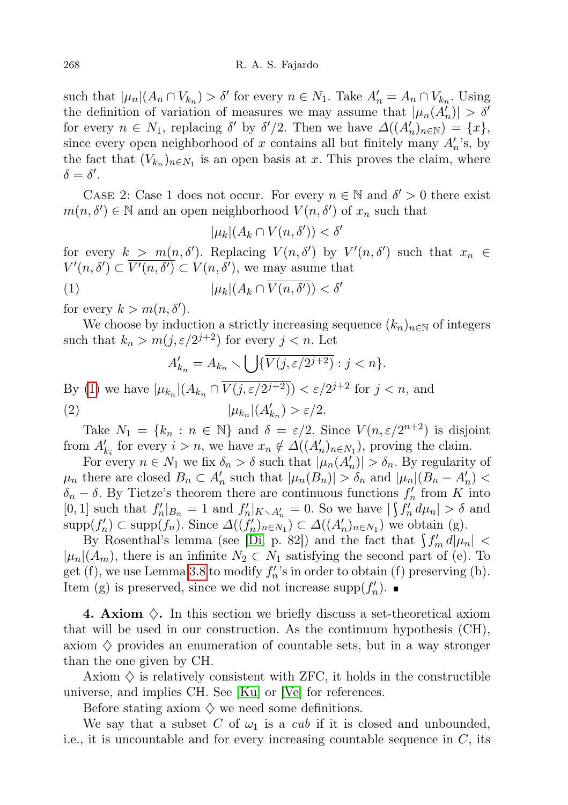such that  $|\mu_n|(A_n \cap V_{k_n}) > \delta'$  for every  $n \in N_1$ . Take  $A'_n = A_n \cap V_{k_n}$ . Using the definition of variation of measures we may assume that  $|\mu_n(A'_n)| > \delta'$ for every  $n \in N_1$ , replacing  $\delta'$  by  $\delta'/2$ . Then we have  $\Delta((A'_n)_{n\in\mathbb{N}}) = \{x\},\$ since every open neighborhood of x contains all but finitely many  $A'_n$ 's, by the fact that  $(V_{k_n})_{n \in N_1}$  is an open basis at x. This proves the claim, where  $\delta = \delta'.$ 

CASE 2: Case 1 does not occur. For every  $n \in \mathbb{N}$  and  $\delta' > 0$  there exist  $m(n, \delta') \in \mathbb{N}$  and an open neighborhood  $V(n, \delta')$  of  $x_n$  such that

<span id="page-9-0"></span>
$$
|\mu_k|(A_k \cap V(n,\delta')) < \delta'
$$

for every  $k > m(n, \delta')$ . Replacing  $V(n, \delta')$  by  $V'(n, \delta')$  such that  $x_n \in$  $V'(n, \delta') \subset \overline{V'(n, \delta')} \subset V(n, \delta'),$  we may asume that

$$
(1) \qquad |\mu_k|(A_k \cap \overline{V(n, \delta')}) < \delta'
$$

for every  $k > m(n, \delta').$ 

We choose by induction a strictly increasing sequence  $(k_n)_{n\in\mathbb{N}}$  of integers such that  $k_n > m(j, \varepsilon/2^{j+2})$  for every  $j < n$ . Let

$$
A'_{k_n} = A_{k_n} \setminus \bigcup \{ \overline{V(j, \varepsilon/2^{j+2})} : j < n \}.
$$

By [\(1\)](#page-9-0) we have  $|\mu_{k_n}|(A_{k_n} \cap \overline{V(j, \varepsilon/2^{j+2})}) < \varepsilon/2^{j+2}$  for  $j < n$ , and (2)  $|\mu_{k_n}|(A'_{k_n}) > \varepsilon/2.$ 

Take  $N_1 = \{k_n : n \in \mathbb{N}\}\$ and  $\delta = \varepsilon/2$ . Since  $V(n, \varepsilon/2^{n+2})$  is disjoint from  $A'_{k_i}$  for every  $i > n$ , we have  $x_n \notin \Delta((A'_n)_{n \in N_1})$ , proving the claim.

For every  $n \in N_1$  we fix  $\delta_n > \delta$  such that  $|\mu_n(A'_n)| > \delta_n$ . By regularity of  $\mu_n$  there are closed  $B_n \subset A'_n$  such that  $|\mu_n(B_n)| > \delta_n$  and  $|\mu_n|(B_n - A'_n)$  $\delta_n - \delta$ . By Tietze's theorem there are continuous functions  $f'_n$  from K into [0, 1] such that  $f'_n|_{B_n} = 1$  and  $f'_n|_{K \setminus A'_n} = 0$ . So we have  $|\int f'_n d\mu_n| > \delta$  and  $\mathrm{supp}(f'_n) \subset \mathrm{supp}(f_n)$ . Since  $\Delta((f'_n)_{n \in N_1}) \subset \Delta((A'_n)_{n \in N_1})$  we obtain (g).

By Rosenthal's lemma (see [\[Di,](#page-23-0) p. 82]) and the fact that  $\int f'_m d|\mu_n|$  <  $|\mu_n|(A_m)$ , there is an infinite  $N_2 \subset N_1$  satisfying the second part of (e). To get (f), we use Lemma [3.8](#page-5-0) to modify  $f'_n$ 's in order to obtain (f) preserving (b). Item (g) is preserved, since we did not increase  $\text{supp}(f'_n)$ .

**4. Axiom**  $\Diamond$ . In this section we briefly discuss a set-theoretical axiom that will be used in our construction. As the continuum hypothesis (CH), axiom  $\diamondsuit$  provides an enumeration of countable sets, but in a way stronger than the one given by CH.

Axiom  $\diamondsuit$  is relatively consistent with ZFC, it holds in the constructible universe, and implies CH. See [\[Ku\]](#page-24-10) or [\[Ve\]](#page-24-11) for references.

Before stating axiom  $\diamondsuit$  we need some definitions.

We say that a subset C of  $\omega_1$  is a cub if it is closed and unbounded, i.e., it is uncountable and for every increasing countable sequence in  $C$ , its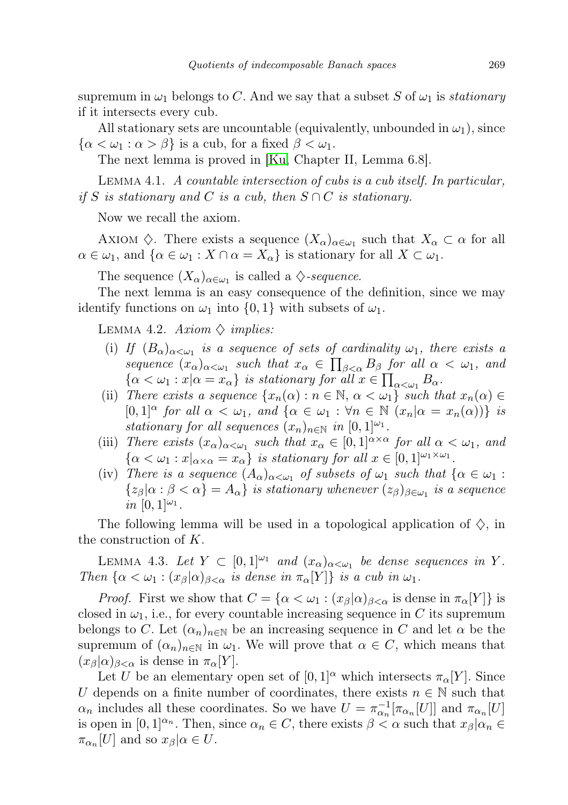supremum in  $\omega_1$  belongs to C. And we say that a subset S of  $\omega_1$  is *stationary* if it intersects every cub.

All stationary sets are uncountable (equivalently, unbounded in  $\omega_1$ ), since  $\{\alpha < \omega_1 : \alpha > \beta\}$  is a cub, for a fixed  $\beta < \omega_1$ .

The next lemma is proved in [\[Ku,](#page-24-10) Chapter II, Lemma 6.8].

<span id="page-10-0"></span>Lemma 4.1. A countable intersection of cubs is a cub itself. In particular, if S is stationary and C is a cub, then  $S \cap C$  is stationary.

Now we recall the axiom.

AXIOM  $\Diamond$ . There exists a sequence  $(X_{\alpha})_{\alpha \in \omega_1}$  such that  $X_{\alpha} \subset \alpha$  for all  $\alpha \in \omega_1$ , and  $\{\alpha \in \omega_1 : X \cap \alpha = X_\alpha\}$  is stationary for all  $X \subset \omega_1$ .

The sequence  $(X_{\alpha})_{\alpha \in \omega_1}$  is called a  $\diamondsuit$ -sequence.

The next lemma is an easy consequence of the definition, since we may identify functions on  $\omega_1$  into  $\{0,1\}$  with subsets of  $\omega_1$ .

<span id="page-10-1"></span>LEMMA 4.2. Axiom  $\diamondsuit$  implies:

- (i) If  $(B_\alpha)_{\alpha<\omega_1}$  is a sequence of sets of cardinality  $\omega_1$ , there exists a sequence  $(x_{\alpha})_{\alpha<\omega_1}$  such that  $x_{\alpha} \in \prod_{\beta<\alpha} B_{\beta}$  for all  $\alpha<\omega_1$ , and  $\{\alpha < \omega_1 : x | \alpha = x_\alpha\}$  is stationary for all  $x \in \prod_{\alpha < \omega_1} B_\alpha$ .
- (ii) There exists a sequence  $\{x_n(\alpha): n \in \mathbb{N}, \alpha < \omega_1\}$  such that  $x_n(\alpha) \in$  $[0,1]^\alpha$  for all  $\alpha < \omega_1$ , and  $\{\alpha \in \omega_1 : \forall n \in \mathbb{N} \ (x_n | \alpha = x_n(\alpha))\}$  is stationary for all sequences  $(x_n)_{n\in\mathbb{N}}$  in  $[0,1]^{\\\omega_1}$ .
- (iii) There exists  $(x_{\alpha})_{\alpha<\omega_1}$  such that  $x_{\alpha}\in[0,1]^{\alpha\times\alpha}$  for all  $\alpha<\omega_1$ , and  $\{\alpha < \omega_1 : x|_{\alpha \times \alpha} = x_\alpha\}$  is stationary for all  $x \in [0,1]^{|\omega_1 \times \omega_1|}$ .
- (iv) There is a sequence  $(A_{\alpha})_{\alpha<\omega_1}$  of subsets of  $\omega_1$  such that  $\{\alpha\in\omega_1:\alpha\in\omega_1\}$  $\{z_{\beta} | \alpha : \beta < \alpha\} = A_{\alpha}\}\$  is stationary whenever  $(z_{\beta})_{\beta \in \omega_1}$  is a sequence in  $[0,1]^{\\\omega_1}$ .

The following lemma will be used in a topological application of  $\Diamond$ , in the construction of K.

<span id="page-10-2"></span>LEMMA 4.3. Let  $Y \subset [0,1]^{|\omega_1|}$  and  $(x_\alpha)_{\alpha < \omega_1}$  be dense sequences in Y. Then  $\{\alpha < \omega_1 : (x_\beta | \alpha)_{\beta < \alpha} \text{ is dense in } \pi_\alpha[Y]\}$  is a cub in  $\omega_1$ .

*Proof.* First we show that  $C = {\alpha < \omega_1 : (x_\beta | \alpha)_{\beta < \alpha}}$  is dense in  $\pi_\alpha[Y]$  is closed in  $\omega_1$ , i.e., for every countable increasing sequence in C its supremum belongs to C. Let  $(\alpha_n)_{n\in\mathbb{N}}$  be an increasing sequence in C and let  $\alpha$  be the supremum of  $(\alpha_n)_{n\in\mathbb{N}}$  in  $\omega_1$ . We will prove that  $\alpha \in C$ , which means that  $(x_{\beta}|\alpha)_{\beta<\alpha}$  is dense in  $\pi_{\alpha}[Y]$ .

Let U be an elementary open set of  $[0,1]^\alpha$  which intersects  $\pi_\alpha[Y]$ . Since U depends on a finite number of coordinates, there exists  $n \in \mathbb{N}$  such that  $\alpha_n$  includes all these coordinates. So we have  $U = \pi_{\alpha_n}^{-1} [\pi_{\alpha_n}[U]]$  and  $\pi_{\alpha_n}[U]$ is open in  $[0,1]^{\alpha_n}$ . Then, since  $\alpha_n \in C$ , there exists  $\beta < \alpha$  such that  $x_{\beta} | \alpha_n \in C$  $\pi_{\alpha_n}[U]$  and so  $x_\beta|\alpha\in U$ .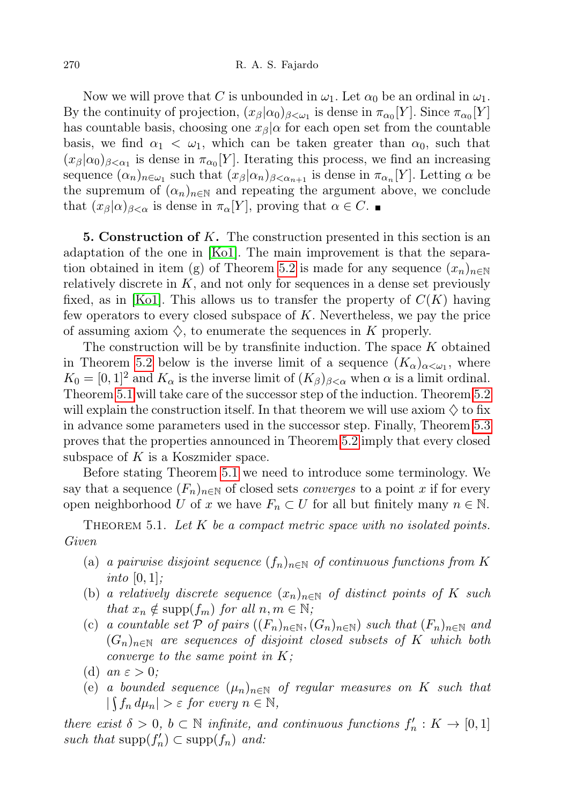Now we will prove that C is unbounded in  $\omega_1$ . Let  $\alpha_0$  be an ordinal in  $\omega_1$ . By the continuity of projection,  $(x_{\beta}|\alpha_0)_{\beta<\omega_1}$  is dense in  $\pi_{\alpha_0}[Y]$ . Since  $\pi_{\alpha_0}[Y]$ has countable basis, choosing one  $x_\beta|\alpha$  for each open set from the countable basis, we find  $\alpha_1 < \omega_1$ , which can be taken greater than  $\alpha_0$ , such that  $(x_{\beta}|\alpha_0)_{\beta<\alpha_1}$  is dense in  $\pi_{\alpha_0}[Y]$ . Iterating this process, we find an increasing sequence  $(\alpha_n)_{n \in \omega_1}$  such that  $(x_\beta | \alpha_n)_{\beta < \alpha_{n+1}}$  is dense in  $\pi_{\alpha_n}[Y]$ . Letting  $\alpha$  be the supremum of  $(\alpha_n)_{n\in\mathbb{N}}$  and repeating the argument above, we conclude that  $(x_\beta|\alpha)_{\beta<\alpha}$  is dense in  $\pi_\alpha[Y]$ , proving that  $\alpha\in C$ .

**5. Construction of K.** The construction presented in this section is an adaptation of the one in [\[Ko1\]](#page-24-2). The main improvement is that the separa-tion obtained in item (g) of Theorem [5.2](#page-13-0) is made for any sequence  $(x_n)_{n\in\mathbb{N}}$ relatively discrete in  $K$ , and not only for sequences in a dense set previously fixed, as in [\[Ko1\]](#page-24-2). This allows us to transfer the property of  $C(K)$  having few operators to every closed subspace of K. Nevertheless, we pay the price of assuming axiom  $\diamondsuit$ , to enumerate the sequences in K properly.

The construction will be by transfinite induction. The space  $K$  obtained in Theorem [5.2](#page-13-0) below is the inverse limit of a sequence  $(K_{\alpha})_{\alpha<\omega_1}$ , where  $K_0 = [0, 1]^2$  and  $K_\alpha$  is the inverse limit of  $(K_\beta)_{\beta < \alpha}$  when  $\alpha$  is a limit ordinal. Theorem [5.1](#page-11-0) will take care of the successor step of the induction. Theorem [5.2](#page-13-0) will explain the construction itself. In that theorem we will use axiom  $\diamondsuit$  to fix in advance some parameters used in the successor step. Finally, Theorem [5.3](#page-18-0) proves that the properties announced in Theorem [5.2](#page-13-0) imply that every closed subspace of  $K$  is a Koszmider space.

Before stating Theorem [5.1](#page-11-0) we need to introduce some terminology. We say that a sequence  $(F_n)_{n\in\mathbb{N}}$  of closed sets *converges* to a point x if for every open neighborhood U of x we have  $F_n \subset U$  for all but finitely many  $n \in \mathbb{N}$ .

<span id="page-11-0"></span>THEOREM 5.1. Let  $K$  be a compact metric space with no isolated points. Given

- (a) a pairwise disjoint sequence  $(f_n)_{n\in\mathbb{N}}$  of continuous functions from K into  $[0, 1]$ ;
- (b) a relatively discrete sequence  $(x_n)_{n\in\mathbb{N}}$  of distinct points of K such that  $x_n \notin \text{supp}(f_m)$  for all  $n, m \in \mathbb{N}$ ;
- (c) a countable set P of pairs  $((F_n)_{n\in\mathbb{N}},(G_n)_{n\in\mathbb{N}})$  such that  $(F_n)_{n\in\mathbb{N}}$  and  $(G_n)_{n\in\mathbb{N}}$  are sequences of disjoint closed subsets of K which both converge to the same point in  $K$ ;
- (d) an  $\varepsilon > 0$ ;
- (e) a bounded sequence  $(\mu_n)_{n\in\mathbb{N}}$  of regular measures on K such that  $|\int f_n d\mu_n| > \varepsilon$  for every  $n \in \mathbb{N}$ ,

there exist  $\delta > 0$ ,  $b \subset \mathbb{N}$  infinite, and continuous functions  $f'_n : K \to [0,1]$ such that  $\text{supp}(f'_n) \subset \text{supp}(f_n)$  and: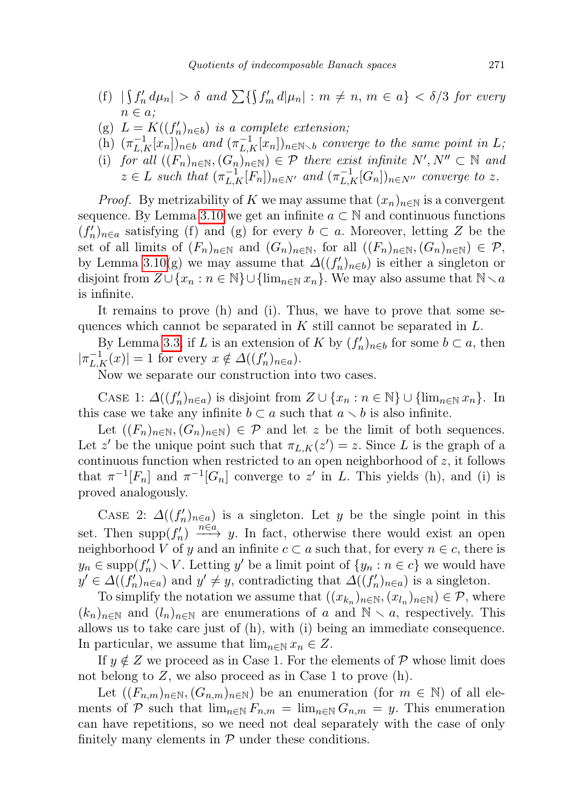- (f)  $|\int f'_n d\mu_n| > \delta$  and  $\sum {\int f'_m d\mu_n| : m \neq n, m \in a} < \delta/3$  for every  $n \in a$ ;
- (g)  $L = K((f'_n)_{n \in b})$  is a complete extension;
- (h)  $(\pi_{L,K}^{-1}[x_n])_{n\in b}$  and  $(\pi_{L,K}^{-1}[x_n])_{n\in\mathbb{N}\setminus b}$  converge to the same point in L;
- (i) for all  $((F_n)_{n\in\mathbb{N}}, (G_n)_{n\in\mathbb{N}}) \in \mathcal{P}$  there exist infinite  $N', N'' \subset \mathbb{N}$  and  $z \in L$  such that  $(\pi_{L,K}^{-1}[F_n])_{n \in N'}$  and  $(\pi_{L,K}^{-1}[G_n])_{n \in N''}$  converge to z.

*Proof.* By metrizability of K we may assume that  $(x_n)_{n\in\mathbb{N}}$  is a convergent sequence. By Lemma [3.10](#page-8-0) we get an infinite  $a \subset \mathbb{N}$  and continuous functions  $(f'_n)_{n\in a}$  satisfying (f) and (g) for every  $b \subset a$ . Moreover, letting Z be the set of all limits of  $(F_n)_{n\in\mathbb{N}}$  and  $(G_n)_{n\in\mathbb{N}}$ , for all  $((F_n)_{n\in\mathbb{N}},(G_n)_{n\in\mathbb{N}})\in\mathcal{P}$ , by Lemma [3.10\(](#page-8-0)g) we may assume that  $\Delta((f'_n)_{n\in b})$  is either a singleton or disjoint from  $Z\cup\{x_n : n \in \mathbb{N}\}\cup \{\lim_{n\in\mathbb{N}} x_n\}$ . We may also assume that  $\mathbb{N}\setminus a$ is infinite.

It remains to prove (h) and (i). Thus, we have to prove that some sequences which cannot be separated in  $K$  still cannot be separated in  $L$ .

By Lemma [3.3,](#page-3-2) if L is an extension of K by  $(f'_n)_{n\in\mathfrak{b}}$  for some  $b\subset a$ , then  $|\pi_{L,K}^{-1}(x)| = 1$  for every  $x \notin \Delta((f'_n)_{n \in a})$ .

Now we separate our construction into two cases.

CASE 1:  $\Delta((f'_n)_{n\in a})$  is disjoint from  $Z \cup \{x_n : n \in \mathbb{N}\} \cup \{\lim_{n\in \mathbb{N}} x_n\}$ . In this case we take any infinite  $b \subset a$  such that  $a \setminus b$  is also infinite.

Let  $((F_n)_{n\in\mathbb{N}},(G_n)_{n\in\mathbb{N}})\in\mathcal{P}$  and let z be the limit of both sequences. Let z' be the unique point such that  $\pi_{L,K}(z') = z$ . Since L is the graph of a continuous function when restricted to an open neighborhood of  $z$ , it follows that  $\pi^{-1}[F_n]$  and  $\pi^{-1}[G_n]$  converge to z' in L. This yields (h), and (i) is proved analogously.

CASE 2:  $\Delta((f'_n)_{n\in a})$  is a singleton. Let y be the single point in this set. Then supp $(f'_n) \xrightarrow{n \in \alpha} y$ . In fact, otherwise there would exist an open neighborhood V of y and an infinite  $c \subset a$  such that, for every  $n \in c$ , there is  $y_n \in \text{supp}(f'_n) \setminus V$ . Letting y' be a limit point of  $\{y_n : n \in c\}$  we would have  $y' \in \Delta((f'_n)_{n \in a})$  and  $y' \neq y$ , contradicting that  $\Delta((f'_n)_{n \in a})$  is a singleton.

To simplify the notation we assume that  $((x_{k_n})_{n\in\mathbb{N}}, (x_{l_n})_{n\in\mathbb{N}}) \in \mathcal{P}$ , where  $(k_n)_{n\in\mathbb{N}}$  and  $(l_n)_{n\in\mathbb{N}}$  are enumerations of a and  $\mathbb{N}\setminus a$ , respectively. This allows us to take care just of (h), with (i) being an immediate consequence. In particular, we assume that  $\lim_{n \in \mathbb{N}} x_n \in Z$ .

If  $y \notin Z$  we proceed as in Case 1. For the elements of P whose limit does not belong to  $Z$ , we also proceed as in Case 1 to prove  $(h)$ .

Let  $((F_{n,m})_{n\in\mathbb{N}},(G_{n,m})_{n\in\mathbb{N}})$  be an enumeration (for  $m\in\mathbb{N}$ ) of all elements of P such that  $\lim_{n\in\mathbb{N}} F_{n,m} = \lim_{n\in\mathbb{N}} G_{n,m} = y$ . This enumeration can have repetitions, so we need not deal separately with the case of only finitely many elements in  $P$  under these conditions.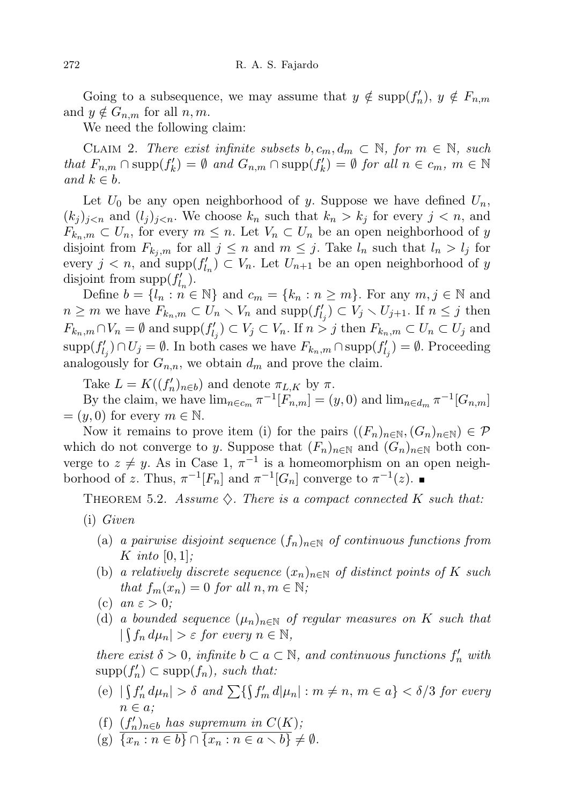Going to a subsequence, we may assume that  $y \notin \text{supp}(f'_n)$ ,  $y \notin F_{n,m}$ and  $y \notin G_{n,m}$  for all  $n, m$ .

We need the following claim:

CLAIM 2. There exist infinite subsets  $b, c_m, d_m \subset \mathbb{N}$ , for  $m \in \mathbb{N}$ , such that  $F_{n,m} \cap \text{supp}(f'_k) = \emptyset$  and  $G_{n,m} \cap \text{supp}(f'_k) = \emptyset$  for all  $n \in c_m$ ,  $m \in \mathbb{N}$ and  $k \in b$ .

Let  $U_0$  be any open neighborhood of y. Suppose we have defined  $U_n$ ,  $(k_j)_{j \leq n}$  and  $(l_j)_{j \leq n}$ . We choose  $k_n$  such that  $k_n > k_j$  for every  $j \leq n$ , and  $F_{k_n,m} \subset U_n$ , for every  $m \leq n$ . Let  $V_n \subset U_n$  be an open neighborhood of y disjoint from  $F_{k_i,m}$  for all  $j \leq n$  and  $m \leq j$ . Take  $l_n$  such that  $l_n > l_j$  for every  $j < n$ , and  $\text{supp}(f'_{l_n}) \subset V_n$ . Let  $U_{n+1}$  be an open neighborhood of y disjoint from  $\text{supp}(f'_{l_n}).$ 

Define  $b = \{l_n : n \in \mathbb{N}\}\$ and  $c_m = \{k_n : n \geq m\}$ . For any  $m, j \in \mathbb{N}$  and  $n \geq m$  we have  $F_{k_n,m} \subset U_n \setminus V_n$  and  $\text{supp}(f'_{l_j}) \subset V_j \setminus U_{j+1}$ . If  $n \leq j$  then  $F_{k_n,m} \cap V_n = \emptyset$  and  $\text{supp}(f'_{l_j}) \subset V_j \subset V_n$ . If  $n > j$  then  $F_{k_n,m} \subset U_n \subset U_j$  and  $\text{supp}(f'_{l_j}) \cap U_j = \emptyset$ . In both cases we have  $F_{k_n,m} \cap \text{supp}(f'_{l_j}) = \emptyset$ . Proceeding analogously for  $G_{n,n}$ , we obtain  $d_m$  and prove the claim.

Take  $L = K((f'_n)_{n \in b})$  and denote  $\pi_{L,K}$  by  $\pi$ .

By the claim, we have  $\lim_{n\in c_m} \pi^{-1}[F_{n,m}] = (y,0)$  and  $\lim_{n\in d_m} \pi^{-1}[G_{n,m}]$  $=(y, 0)$  for every  $m \in \mathbb{N}$ .

Now it remains to prove item (i) for the pairs  $((F_n)_{n\in\mathbb{N}},(G_n)_{n\in\mathbb{N}})\in\mathcal{P}$ which do not converge to y. Suppose that  $(F_n)_{n\in\mathbb{N}}$  and  $(G_n)_{n\in\mathbb{N}}$  both converge to  $z \neq y$ . As in Case 1,  $\pi^{-1}$  is a homeomorphism on an open neighborhood of z. Thus,  $\pi^{-1}[F_n]$  and  $\pi^{-1}[G_n]$  converge to  $\pi^{-1}(z)$ .

<span id="page-13-0"></span>THEOREM 5.2. Assume  $\diamondsuit$ . There is a compact connected K such that:

- (i) Given
	- (a) a pairwise disjoint sequence  $(f_n)_{n\in\mathbb{N}}$  of continuous functions from K into  $[0, 1]$ ;
	- (b) a relatively discrete sequence  $(x_n)_{n\in\mathbb{N}}$  of distinct points of K such that  $f_m(x_n) = 0$  for all  $n, m \in \mathbb{N}$ ;
	- (c) an  $\varepsilon > 0$ ;
	- (d) a bounded sequence  $(\mu_n)_{n\in\mathbb{N}}$  of regular measures on K such that  $|\int f_n d\mu_n| > \varepsilon$  for every  $n \in \mathbb{N}$ ,

there exist  $\delta > 0$ , infinite  $b \subset a \subset \mathbb{N}$ , and continuous functions  $f'_n$  with  $\text{supp}(f'_n) \subset \text{supp}(f_n)$ , such that:

- (e)  $|\int f'_n d\mu_n| > \delta$  and  $\sum {\int f'_m d\mu_n| : m \neq n, m \in a} < \delta/3$  for every  $n \in a$ ;
- (f)  $(f'_n)_{n \in b}$  has supremum in  $C(K)$ ;
- (g)  $\overline{\{x_n : n \in b\}} \cap \overline{\{x_n : n \in a \setminus b\}} \neq \emptyset.$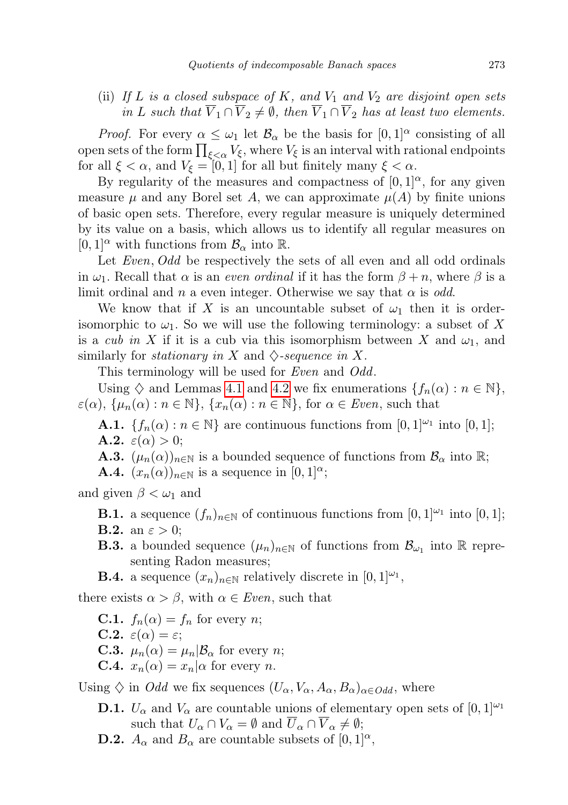(ii) If L is a closed subspace of K, and  $V_1$  and  $V_2$  are disjoint open sets in L such that  $\overline{V}_1 \cap \overline{V}_2 \neq \emptyset$ , then  $\overline{V}_1 \cap \overline{V}_2$  has at least two elements.

*Proof.* For every  $\alpha \leq \omega_1$  let  $\mathcal{B}_\alpha$  be the basis for  $[0,1]^\alpha$  consisting of all open sets of the form  $\prod_{\xi<\alpha}V_\xi,$  where  $V_\xi$  is an interval with rational endpoints for all  $\xi < \alpha$ , and  $V_{\xi} = [0, 1]$  for all but finitely many  $\xi < \alpha$ .

By regularity of the measures and compactness of  $[0, 1]^\alpha$ , for any given measure  $\mu$  and any Borel set A, we can approximate  $\mu(A)$  by finite unions of basic open sets. Therefore, every regular measure is uniquely determined by its value on a basis, which allows us to identify all regular measures on  $[0, 1]^\alpha$  with functions from  $\mathcal{B}_\alpha$  into  $\mathbb{R}$ .

Let *Even*, *Odd* be respectively the sets of all even and all odd ordinals in  $\omega_1$ . Recall that  $\alpha$  is an *even ordinal* if it has the form  $\beta + n$ , where  $\beta$  is a limit ordinal and n a even integer. Otherwise we say that  $\alpha$  is odd.

We know that if X is an uncountable subset of  $\omega_1$  then it is orderisomorphic to  $\omega_1$ . So we will use the following terminology: a subset of X is a *cub in X* if it is a cub via this isomorphism between X and  $\omega_1$ , and similarly for *stationary in* X and  $\Diamond$ -sequence in X.

This terminology will be used for *Even* and *Odd*.

Using  $\diamondsuit$  and Lemmas [4.1](#page-10-0) and [4.2](#page-10-1) we fix enumerations  $\{f_n(\alpha): n \in \mathbb{N}\},\$  $\varepsilon(\alpha)$ ,  $\{\mu_n(\alpha) : n \in \mathbb{N}\}\$ ,  $\{x_n(\alpha) : n \in \mathbb{N}\}\$ , for  $\alpha \in Even$ , such that

**A.1.**  $\{f_n(\alpha) : n \in \mathbb{N}\}\$ are continuous functions from  $[0,1]^{w_1}$  into  $[0,1]$ ; **A.2.**  $\varepsilon(\alpha) > 0$ ;

- **A.3.**  $(\mu_n(\alpha))_{n\in\mathbb{N}}$  is a bounded sequence of functions from  $\mathcal{B}_{\alpha}$  into  $\mathbb{R}$ ;
- **A.4.**  $(x_n(\alpha))_{n\in\mathbb{N}}$  is a sequence in  $[0,1]^\alpha$ ;

and given  $\beta < \omega_1$  and

- **B.1.** a sequence  $(f_n)_{n\in\mathbb{N}}$  of continuous functions from  $[0,1]^\omega$ <sup>1</sup> into  $[0,1]$ ; **B.2.** an  $\varepsilon > 0$ ;
- **B.3.** a bounded sequence  $(\mu_n)_{n \in \mathbb{N}}$  of functions from  $\mathcal{B}_{\omega_1}$  into  $\mathbb R$  representing Radon measures;
- **B.4.** a sequence  $(x_n)_{n \in \mathbb{N}}$  relatively discrete in  $[0,1]^{2}$ ,

there exists  $\alpha > \beta$ , with  $\alpha \in Even$ , such that

- **C.1.**  $f_n(\alpha) = f_n$  for every *n*;
- **C.2.**  $\varepsilon(\alpha) = \varepsilon$ ;
- **C.3.**  $\mu_n(\alpha) = \mu_n | \mathcal{B}_\alpha$  for every *n*;
- **C.4.**  $x_n(\alpha) = x_n|\alpha$  for every *n*.

Using  $\Diamond$  in *Odd* we fix sequences  $(U_{\alpha}, V_{\alpha}, A_{\alpha}, B_{\alpha})_{\alpha \in Odd}$ , where

- **D.1.**  $U_{\alpha}$  and  $V_{\alpha}$  are countable unions of elementary open sets of  $[0, 1]^{\omega_1}$ such that  $U_{\alpha} \cap V_{\alpha} = \emptyset$  and  $\overline{U}_{\alpha} \cap \overline{V}_{\alpha} \neq \emptyset$ ;
- **D.2.**  $A_{\alpha}$  and  $B_{\alpha}$  are countable subsets of  $[0, 1]^{\alpha}$ ,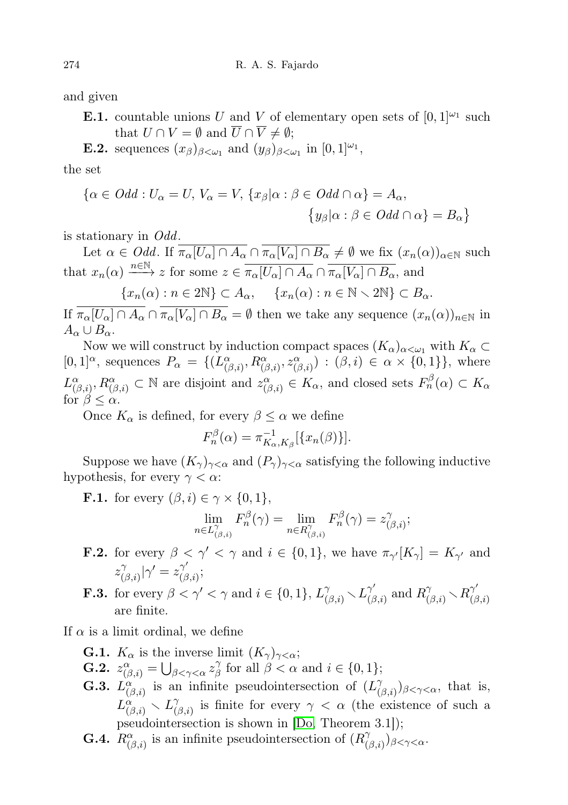and given

**E.1.** countable unions U and V of elementary open sets of  $[0, 1]^{\omega_1}$  such that  $U \cap V = \emptyset$  and  $\overline{U} \cap \overline{V} \neq \emptyset$ ;

**E.2.** sequences  $(x_{\beta})_{\beta<\omega_1}$  and  $(y_{\beta})_{\beta<\omega_1}$  in  $[0,1]^{\omega_1}$ ,

the set

$$
\{\alpha \in Odd : U_{\alpha} = U, V_{\alpha} = V, \{x_{\beta} | \alpha : \beta \in Odd \cap \alpha\} = A_{\alpha},
$$
  

$$
\{y_{\beta} | \alpha : \beta \in Odd \cap \alpha\} = B_{\alpha}\}
$$

is stationary in Odd.

Let  $\alpha \in Odd$ . If  $\overline{\pi_{\alpha}[U_{\alpha}] \cap A_{\alpha}} \cap \overline{\pi_{\alpha}[V_{\alpha}] \cap B_{\alpha}} \neq \emptyset$  we fix  $(x_n(\alpha))_{\alpha \in \mathbb{N}}$  such that  $x_n(\alpha) \longrightarrow^{\infty} z$  for some  $z \in \overline{\pi_{\alpha}[U_{\alpha}] \cap A_{\alpha}} \cap \overline{\pi_{\alpha}[V_{\alpha}] \cap B_{\alpha}}$ , and  ${x_n(\alpha) : n \in 2\mathbb{N}} \subset A_\alpha, \quad {x_n(\alpha) : n \in \mathbb{N} \setminus 2\mathbb{N}} \subset B_\alpha.$ 

If  $\overline{\pi_{\alpha}[U_{\alpha}] \cap A_{\alpha}} \cap \overline{\pi_{\alpha}[V_{\alpha}] \cap B_{\alpha}} = \emptyset$  then we take any sequence  $(x_n(\alpha))_{n \in \mathbb{N}}$  in  $A_{\alpha} \cup B_{\alpha}$ .

Now we will construct by induction compact spaces  $(K_{\alpha})_{\alpha<\omega_1}$  with  $K_{\alpha}\subset$  $[0,1]^\alpha$ , sequences  $P_\alpha = \{ (L^\alpha_{(\beta,i)}, R^\alpha_{(\beta,i)}, z^\alpha_{(\beta,i)}) : (\beta,i) \in \alpha \times \{0,1\} \}$ , where  $L^{\alpha}_{(\beta,i)}, R^{\alpha}_{(\beta,i)} \subset \mathbb{N}$  are disjoint and  $z^{\alpha}_{(\beta,i)} \in K_{\alpha}$ , and closed sets  $F^{\beta}_n(\alpha) \subset K_{\alpha}$ for  $\beta \leq \alpha$ .

Once  $K_{\alpha}$  is defined, for every  $\beta \leq \alpha$  we define

$$
F_n^{\beta}(\alpha) = \pi_{K_\alpha, K_\beta}^{-1} [\{x_n(\beta)\}].
$$

Suppose we have  $(K_{\gamma})_{\gamma<\alpha}$  and  $(P_{\gamma})_{\gamma<\alpha}$  satisfying the following inductive hypothesis, for every  $\gamma < \alpha$ :

**F.1.** for every  $(\beta, i) \in \gamma \times \{0, 1\},\$ 

$$
\lim_{n \in L^{\gamma}_{(\beta,i)}} F^{\beta}_{n}(\gamma) = \lim_{n \in R^{\gamma}_{(\beta,i)}} F^{\beta}_{n}(\gamma) = z^{\gamma}_{(\beta,i)};
$$

**F.2.** for every  $\beta < \gamma' < \gamma$  and  $i \in \{0,1\}$ , we have  $\pi_{\gamma'}[K_{\gamma}] = K_{\gamma'}$  and  $z_l^{\gamma}$  $\int_{(\beta,i)}^{\gamma}|\gamma'=z_{(\beta)}^{\gamma'}$  $\tilde{\zeta}^{\gamma}_{(\beta,i)};$ 

**F.3.** for every  $\beta < \gamma' < \gamma$  and  $i \in \{0, 1\}$ ,  $L^{\gamma}_{(\beta, i)} \setminus L^{\gamma'}_{(\beta, i)}$  $R^{\gamma'}_{(\beta,i)}$  and  $R^{\gamma}_{(\beta,i)} \setminus R^{\gamma'}_{(\beta,i)}$  $\H(\beta,i)$ are finite.

If  $\alpha$  is a limit ordinal, we define

- **G.1.**  $K_{\alpha}$  is the inverse limit  $(K_{\gamma})_{\gamma < \alpha}$ ;
- **G.2.**  $z^{\alpha}_{(\beta,i)} = \bigcup_{\beta < \gamma < \alpha} z^{\gamma}_{\beta}$  $\beta \atop \beta$  for all  $\beta < \alpha$  and  $i \in \{0, 1\};$
- **G.3.**  $L^{\alpha}_{(\beta,i)}$  is an infinite pseudointersection of  $(L^{\gamma}_{(\beta,i)})$  $(\beta_i)_{\beta<\gamma<\alpha}$ , that is,  $L^{\alpha}_{(\beta,i)} \smallsetminus L^{\gamma}_{(\beta,i)}$  $\gamma_{(\beta,i)}^{\gamma}$  is finite for every  $\gamma < \alpha$  (the existence of such a pseudointersection is shown in [\[Do,](#page-24-12) Theorem 3.1]);
- **G.4.**  $R^{\alpha}_{(\beta,i)}$  is an infinite pseudointersection of  $(R^{\gamma}_{(\beta,i)})$  $(\beta,i))$ β $<\gamma<\alpha$ .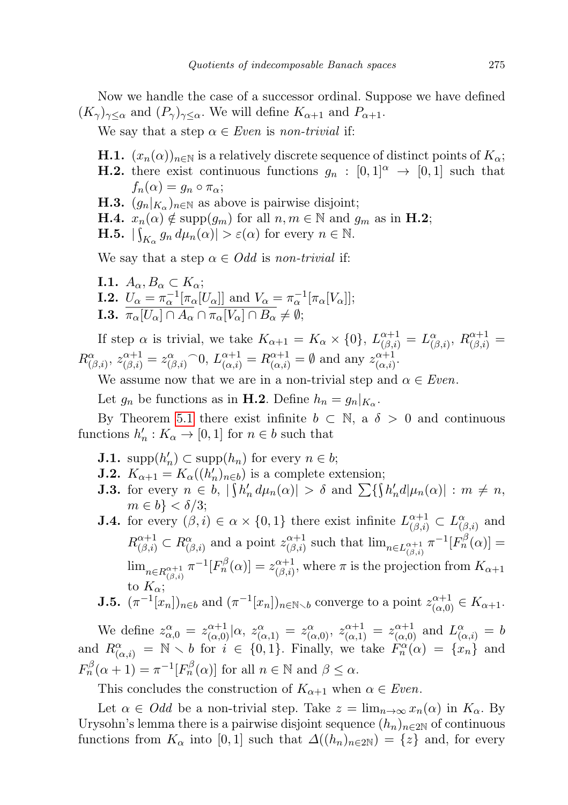Now we handle the case of a successor ordinal. Suppose we have defined  $(K_{\gamma})_{\gamma \leq \alpha}$  and  $(P_{\gamma})_{\gamma \leq \alpha}$ . We will define  $K_{\alpha+1}$  and  $P_{\alpha+1}$ .

We say that a step  $\alpha \in Even$  is non-trivial if:

- **H.1.**  $(x_n(\alpha))_{n\in\mathbb{N}}$  is a relatively discrete sequence of distinct points of  $K_\alpha$ ;
- **H.2.** there exist continuous functions  $g_n : [0,1]^\alpha \to [0,1]$  such that  $f_n(\alpha) = g_n \circ \pi_\alpha;$
- **H.3.**  $(g_n|_{K_\alpha})_{n \in \mathbb{N}}$  as above is pairwise disjoint;
- **H.4.**  $x_n(\alpha) \notin \text{supp}(g_m)$  for all  $n, m \in \mathbb{N}$  and  $g_m$  as in **H.2**;
- **H.5.**  $|\int_{K_\alpha} g_n d\mu_n(\alpha)| > \varepsilon(\alpha)$  for every  $n \in \mathbb{N}$ .

We say that a step  $\alpha \in Odd$  is non-trivial if:

I.1.  $A_{\alpha}, B_{\alpha} \subset K_{\alpha}$ ; **I.2.**  $U_{\alpha} = \pi_{\alpha}^{-1} [\pi_{\alpha}[U_{\alpha}]]$  and  $V_{\alpha} = \pi_{\alpha}^{-1} [\pi_{\alpha}[V_{\alpha}]]$ ; **I.3.**  $\pi_{\alpha}[U_{\alpha}] \cap A_{\alpha} \cap \pi_{\alpha}[V_{\alpha}] \cap B_{\alpha} \neq \emptyset;$ 

If step  $\alpha$  is trivial, we take  $K_{\alpha+1} = K_{\alpha} \times \{0\}$ ,  $L_{(\beta,i)}^{\alpha+1} = L_{(\beta,i)}^{\alpha}$ ,  $R_{(\beta,i)}^{\alpha+1} =$  $R^{\alpha}_{(\beta,i)}, z^{\alpha+1}_{(\beta,i)} = z^{\alpha}_{(\beta,i)} \cap 0, L^{\alpha+1}_{(\alpha,i)} = R^{\alpha+1}_{(\alpha,i)} = \emptyset$  and any  $z^{\alpha+1}_{(\alpha,i)}$  $\alpha+1 \atop (\alpha,i)$ 

We assume now that we are in a non-trivial step and  $\alpha \in Even$ .

Let  $g_n$  be functions as in **H.2**. Define  $h_n = g_n|_{K_\alpha}$ .

By Theorem [5.1](#page-11-0) there exist infinite  $b \subset \mathbb{N}$ , a  $\delta > 0$  and continuous functions  $h'_n: K_\alpha \to [0,1]$  for  $n \in b$  such that

- **J.1.** supp $(h'_n) \subset \text{supp}(h_n)$  for every  $n \in b$ ;
- **J.2.**  $K_{\alpha+1} = K_{\alpha}((h'_n)_{n \in b})$  is a complete extension;
- **J.3.** for every  $n \in b$ ,  $|\int h'_n d\mu_n(\alpha)| > \delta$  and  $\sum \{\int h'_n d|\mu_n(\alpha)| : m \neq n$ ,  $m \in b$ }  $< \delta/3$ ;
- **J.4.** for every  $(\beta, i) \in \alpha \times \{0, 1\}$  there exist infinite  $L_{(\beta, i)}^{\alpha+1} \subset L_{(\beta, i)}^{\alpha}$  and  $R^{\alpha+1}_{(\beta,i)} \subset R^{\alpha}_{(\beta,i)}$  and a point  $z^{\alpha+1}_{(\beta,i)}$  $\lim_{n\in L_{(\beta,i)}^{\alpha+1}} \pi^{-1}[F_n^{\beta}(\alpha)] =$  $\lim_{n\in R^{\alpha+1}_{(\beta,i)}}\pi^{-1}[F_{n}^{\beta}(\alpha)]=z_{(\beta,i)}^{\alpha+1}$  $\alpha_{(\beta,i)}^{\alpha+1}$ , where  $\pi$  is the projection from  $K_{\alpha+1}$ to  $K_{\alpha}$ ;

**J.5.** 
$$
(\pi^{-1}[x_n])_{n\in b}
$$
 and  $(\pi^{-1}[x_n])_{n\in\mathbb{N}\setminus b}$  converge to a point  $z_{(\alpha,0)}^{\alpha+1} \in K_{\alpha+1}$ .

We define  $z_{\alpha,0}^{\alpha} = z_{(\alpha,0)}^{\alpha+1} | \alpha, z_{(\alpha,1)}^{\alpha} = z_{(\alpha,0)}^{\alpha}, z_{(\alpha,1)}^{\alpha+1} = z_{(\alpha,0)}^{\alpha+1}$  and  $L_{(\alpha,i)}^{\alpha} = b$ and  $R^{\alpha}_{(\alpha,i)} = \mathbb{N} \setminus b$  for  $i \in \{0,1\}$ . Finally, we take  $F^{\alpha}_{n}(\alpha) = \{x_n\}$  and  $F_n^{\beta}(\alpha+1) = \pi^{-1}[F_n^{\beta}(\alpha)]$  for all  $n \in \mathbb{N}$  and  $\beta \leq \alpha$ .

This concludes the construction of  $K_{\alpha+1}$  when  $\alpha \in Even$ .

Let  $\alpha \in Odd$  be a non-trivial step. Take  $z = \lim_{n \to \infty} x_n(\alpha)$  in  $K_\alpha$ . By Urysohn's lemma there is a pairwise disjoint sequence  $(h_n)_{n\in\mathbb{Z}}$  of continuous functions from  $K_{\alpha}$  into [0,1] such that  $\Delta((h_n)_{n\in 2\mathbb{N}}) = \{z\}$  and, for every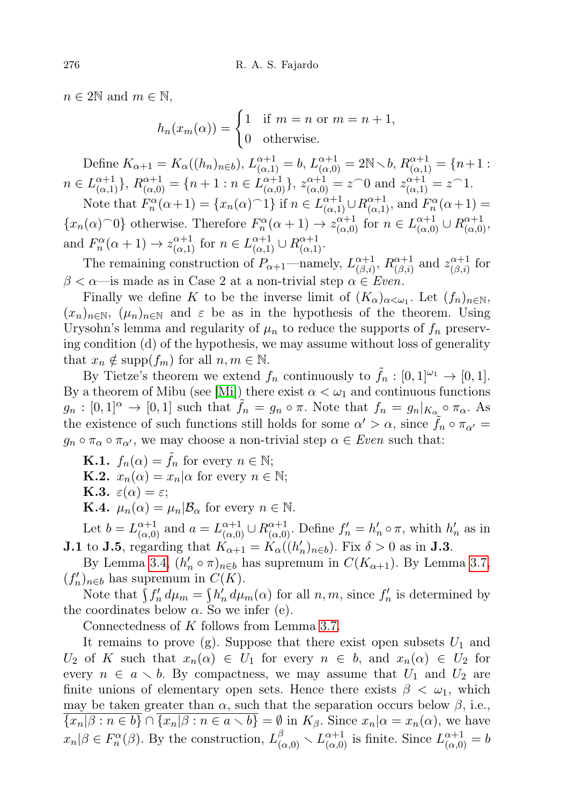$n \in 2\mathbb{N}$  and  $m \in \mathbb{N}$ ,

$$
h_n(x_m(\alpha)) = \begin{cases} 1 & \text{if } m = n \text{ or } m = n+1, \\ 0 & \text{otherwise.} \end{cases}
$$

Define  $K_{\alpha+1} = K_{\alpha}((h_n)_{n \in b}), L_{(\alpha,1)}^{\alpha+1} = b, L_{(\alpha,0)}^{\alpha+1} = 2N \setminus b, R_{(\alpha,1)}^{\alpha+1} = \{n+1 :$  $n \in L_{(\alpha,1)}^{\alpha+1}$ ,  $R_{(\alpha,0)}^{\alpha+1} = \{n+1 : n \in L_{(\alpha,0)}^{\alpha+1}\}$ ,  $z_{(\alpha,0)}^{\alpha+1} = z^{\frown}0$  and  $z_{(\alpha,1)}^{\alpha+1} = z^{\frown}1$ .

Note that  $F_n^{\alpha}(\alpha+1) = \{x_n(\alpha)^{-1}\}\$  if  $n \in L_{(\alpha,1)}^{\alpha+1} \cup R_{(\alpha,1)}^{\alpha+1}$ , and  $F_n^{\alpha}(\alpha+1) =$  $\{x_n(\alpha) \cap 0\}$  otherwise. Therefore  $F_n^{\alpha}(\alpha+1) \to z_{(\alpha,0)}^{\alpha+1}$  for  $n \in L_{(\alpha,0)}^{\alpha+1} \cup R_{(\alpha,0)}^{\alpha+1}$ , and  $F_n^{\alpha}(\alpha+1) \to z_{(\alpha,1)}^{\alpha+1}$  for  $n \in L_{(\alpha,1)}^{\alpha+1} \cup R_{(\alpha,1)}^{\alpha+1}$ .

The remaining construction of  $P_{\alpha+1}$ —namely,  $L_{(\beta,i)}^{\alpha+1}$  $\alpha_{(\beta,i)}^{\alpha+1},\,R_{(\beta,i)}^{\alpha+1}$  $z^{\alpha+1}_{(\beta,i)}$  and  $z^{\alpha+1}_{(\beta,i)}$  $\alpha_{(\beta,i)}^{\alpha+1}$  for  $\beta < \alpha$ —is made as in Case 2 at a non-trivial step  $\alpha \in Even$ .

Finally we define K to be the inverse limit of  $(K_{\alpha})_{\alpha<\omega_1}$ . Let  $(f_n)_{n\in\mathbb{N}}$ ,  $(x_n)_{n\in\mathbb{N}}$ ,  $(\mu_n)_{n\in\mathbb{N}}$  and  $\varepsilon$  be as in the hypothesis of the theorem. Using Urysohn's lemma and regularity of  $\mu_n$  to reduce the supports of  $f_n$  preserving condition (d) of the hypothesis, we may assume without loss of generality that  $x_n \notin \text{supp}(f_m)$  for all  $n, m \in \mathbb{N}$ .

By Tietze's theorem we extend  $f_n$  continuously to  $\tilde{f}_n : [0,1]^{|\omega_1} \to [0,1].$ By a theorem of Mibu (see [\[Mi\]](#page-24-13)) there exist  $\alpha < \omega_1$  and continuous functions  $g_n : [0,1]^\alpha \to [0,1]$  such that  $f_n = g_n \circ \pi$ . Note that  $f_n = g_n|_{K_\alpha} \circ \pi_\alpha$ . As the existence of such functions still holds for some  $\alpha' > \alpha$ , since  $\tilde{f}_n \circ \pi_{\alpha'} =$  $g_n \circ \pi_\alpha \circ \pi_{\alpha'}$ , we may choose a non-trivial step  $\alpha \in Even$  such that:

**K.1.**  $f_n(\alpha) = \tilde{f}_n$  for every  $n \in \mathbb{N}$ ; **K.2.**  $x_n(\alpha) = x_n | \alpha$  for every  $n \in \mathbb{N}$ ; **K.3.**  $\varepsilon(\alpha) = \varepsilon$ ; **K.4.**  $\mu_n(\alpha) = \mu_n | \mathcal{B}_\alpha$  for every  $n \in \mathbb{N}$ .

Let  $b = L_{(\alpha,0)}^{\alpha+1}$  and  $a = L_{(\alpha,0)}^{\alpha+1} \cup R_{(\alpha,0)}^{\alpha+1}$ . Define  $f'_n = h'_n \circ \pi$ , whith  $h'_n$  as in **J.1** to **J.5**, regarding that  $K_{\alpha+1} = K_{\alpha}((h'_n)_{n \in b})$ . Fix  $\delta > 0$  as in **J.3**.

By Lemma [3.4,](#page-3-1)  $(h'_n \circ \pi)_{n \in b}$  has supremum in  $C(K_{\alpha+1})$ . By Lemma [3.7,](#page-4-1)  $(f'_n)_{n \in b}$  has supremum in  $C(K)$ .

Note that  $\int f'_n d\mu_m = \int h'_n d\mu_m(\alpha)$  for all  $n, m$ , since  $f'_n$  is determined by the coordinates below  $\alpha$ . So we infer (e).

Connectedness of K follows from Lemma [3.7.](#page-4-1)

It remains to prove (g). Suppose that there exist open subsets  $U_1$  and  $U_2$  of K such that  $x_n(\alpha) \in U_1$  for every  $n \in b$ , and  $x_n(\alpha) \in U_2$  for every  $n \in a \setminus b$ . By compactness, we may assume that  $U_1$  and  $U_2$  are finite unions of elementary open sets. Hence there exists  $\beta < \omega_1$ , which may be taken greater than  $\alpha$ , such that the separation occurs below  $\beta$ , i.e.,  ${x_n | \beta : n \in b} \cap {x_n | \beta : n \in a \setminus b} = \emptyset$  in  $K_\beta$ . Since  $x_n | \alpha = x_n(\alpha)$ , we have  $x_n|\beta \in F_n^{\alpha}(\beta)$ . By the construction,  $L^{\beta}_{(\alpha,0)} \setminus L^{\alpha+1}_{(\alpha,0)}$  is finite. Since  $L^{\alpha+1}_{(\alpha,0)} = b$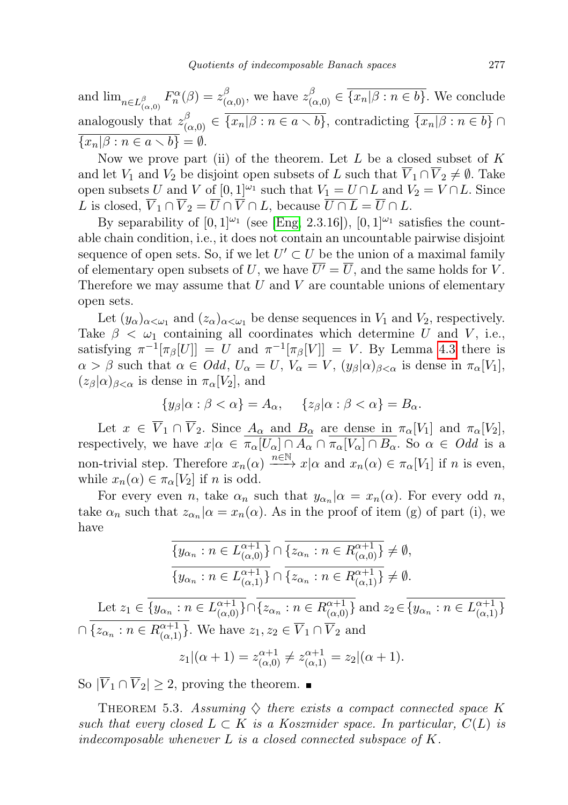and  $\lim_{n\in L^{\beta}_{(\alpha,0)}} F_n^{\alpha}(\beta) = z^{\beta}_{(\alpha,0)},$  we have  $z^{\beta}_{(\alpha,0)} \in \overline{\{x_n|\beta : n \in b\}}$ . We conclude analogously that  $z_{(\alpha,0)}^{\beta} \in \overline{\{x_n|\beta : n \in a \setminus b\}}$ , contradicting  $\overline{\{x_n|\beta : n \in b\}} \cap$  $\overline{\{x_n|\beta : n \in a \setminus b\}} = \emptyset.$ 

Now we prove part (ii) of the theorem. Let  $L$  be a closed subset of  $K$ and let  $V_1$  and  $V_2$  be disjoint open subsets of L such that  $\overline{V}_1 \cap \overline{V}_2 \neq \emptyset$ . Take open subsets U and V of  $[0,1]^{\\\omega_1}$  such that  $V_1 = U \cap L$  and  $V_2 = V \cap L$ . Since L is closed,  $\overline{V}_1 \cap \overline{V}_2 = \overline{U} \cap \overline{V} \cap L$ , because  $\overline{U \cap L} = \overline{U} \cap L$ .

By separability of  $[0, 1]^{2}$  (see [\[Eng,](#page-24-8) 2.3.16]),  $[0, 1]^{2}$  satisfies the countable chain condition, i.e., it does not contain an uncountable pairwise disjoint sequence of open sets. So, if we let  $U' \subset U$  be the union of a maximal family of elementary open subsets of U, we have  $\overline{U'} = \overline{U}$ , and the same holds for V. Therefore we may assume that  $U$  and  $V$  are countable unions of elementary open sets.

Let  $(y_\alpha)_{\alpha<\omega_1}$  and  $(z_\alpha)_{\alpha<\omega_1}$  be dense sequences in  $V_1$  and  $V_2$ , respectively. Take  $\beta < \omega_1$  containing all coordinates which determine U and V, i.e., satisfying  $\pi^{-1}[\pi_{\beta}[U]] = U$  and  $\pi^{-1}[\pi_{\beta}[V]] = V$ . By Lemma [4.3](#page-10-2) there is  $\alpha > \beta$  such that  $\alpha \in Odd$ ,  $U_{\alpha} = U$ ,  $V_{\alpha} = V$ ,  $(y_{\beta}|\alpha)_{\beta < \alpha}$  is dense in  $\pi_{\alpha}[V_1]$ ,  $(z_{\beta}|\alpha)_{\beta<\alpha}$  is dense in  $\pi_{\alpha}[V_2]$ , and

$$
\{y_{\beta}|\alpha:\beta<\alpha\}=A_{\alpha},\quad \{z_{\beta}|\alpha:\beta<\alpha\}=B_{\alpha}.
$$

Let  $x \in V_1 \cap V_2$ . Since  $A_{\alpha}$  and  $B_{\alpha}$  are dense in  $\pi_{\alpha}[V_1]$  and  $\pi_{\alpha}[V_2]$ , respectively, we have  $x|\alpha \in \pi_\alpha[U_\alpha] \cap A_\alpha \cap \pi_\alpha[V_\alpha] \cap B_\alpha$ . So  $\alpha \in Odd$  is a non-trivial step. Therefore  $x_n(\alpha) \xrightarrow{n \in \mathbb{N}} x|\alpha$  and  $x_n(\alpha) \in \pi_\alpha[V_1]$  if n is even, while  $x_n(\alpha) \in \pi_\alpha[V_2]$  if n is odd.

For every even *n*, take  $\alpha_n$  such that  $y_{\alpha_n}|\alpha = x_n(\alpha)$ . For every odd *n*, take  $\alpha_n$  such that  $z_{\alpha_n}|\alpha = x_n(\alpha)$ . As in the proof of item (g) of part (i), we have

$$
\overline{\{y_{\alpha_n} : n \in L_{(\alpha,0)}^{\alpha+1}\}} \cap \overline{\{z_{\alpha_n} : n \in R_{(\alpha,0)}^{\alpha+1}\}} \neq \emptyset,
$$
  

$$
\overline{\{y_{\alpha_n} : n \in L_{(\alpha,1)}^{\alpha+1}\}} \cap \overline{\{z_{\alpha_n} : n \in R_{(\alpha,1)}^{\alpha+1}\}} \neq \emptyset.
$$

Let  $z_1 \in \{y_{\alpha_n} : n \in L_{(\alpha,0)}^{\alpha+1}\} \cap \{z_{\alpha_n} : n \in R_{(\alpha,0)}^{\alpha+1}\}$  and  $z_2 \in \{y_{\alpha_n} : n \in L_{(\alpha,1)}^{\alpha+1}\}$  $\cap \{z_{\alpha_n} : n \in R_{(\alpha,1)}^{\alpha+1}\}$ . We have  $z_1, z_2 \in \overline{V}_1 \cap \overline{V}_2$  and

$$
z_1|(\alpha + 1) = z_{(\alpha,0)}^{\alpha+1} \neq z_{(\alpha,1)}^{\alpha+1} = z_2|(\alpha + 1).
$$

So  $|\overline{V}_1 \cap \overline{V}_2| \geq 2$ , proving the theorem.

<span id="page-18-0"></span>THEOREM 5.3. Assuming  $\diamondsuit$  there exists a compact connected space K such that every closed  $L \subset K$  is a Koszmider space. In particular,  $C(L)$  is indecomposable whenever  $L$  is a closed connected subspace of  $K$ .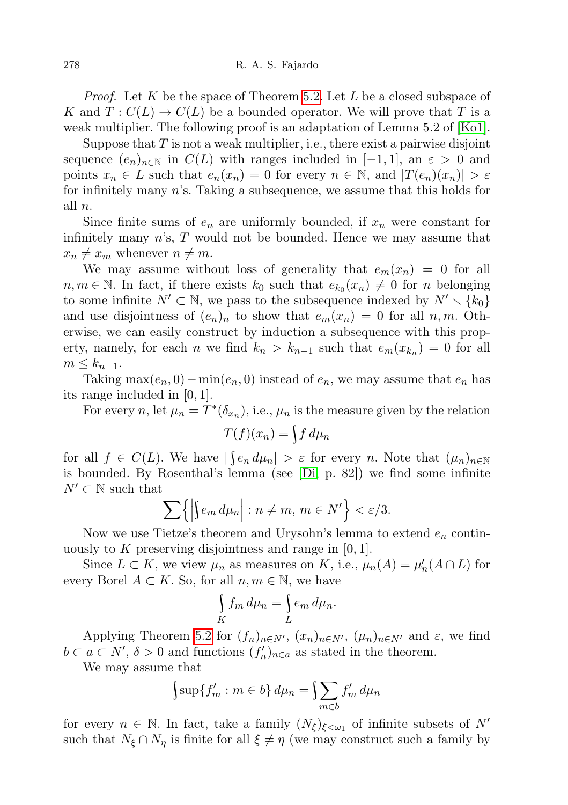*Proof.* Let K be the space of Theorem [5.2.](#page-13-0) Let L be a closed subspace of K and  $T: C(L) \to C(L)$  be a bounded operator. We will prove that T is a weak multiplier. The following proof is an adaptation of Lemma 5.2 of [\[Ko1\]](#page-24-2).

Suppose that  $T$  is not a weak multiplier, i.e., there exist a pairwise disjoint sequence  $(e_n)_{n\in\mathbb{N}}$  in  $C(L)$  with ranges included in  $[-1,1]$ , an  $\varepsilon > 0$  and points  $x_n \in L$  such that  $e_n(x_n) = 0$  for every  $n \in \mathbb{N}$ , and  $|T(e_n)(x_n)| > \varepsilon$ for infinitely many n's. Taking a subsequence, we assume that this holds for all n.

Since finite sums of  $e_n$  are uniformly bounded, if  $x_n$  were constant for infinitely many  $n$ 's,  $T$  would not be bounded. Hence we may assume that  $x_n \neq x_m$  whenever  $n \neq m$ .

We may assume without loss of generality that  $e_m(x_n) = 0$  for all  $n, m \in \mathbb{N}$ . In fact, if there exists  $k_0$  such that  $e_{k_0}(x_n) \neq 0$  for n belonging to some infinite  $N' \subset \mathbb{N}$ , we pass to the subsequence indexed by  $N' \setminus \{k_0\}$ and use disjointness of  $(e_n)_n$  to show that  $e_m(x_n) = 0$  for all  $n, m$ . Otherwise, we can easily construct by induction a subsequence with this property, namely, for each *n* we find  $k_n > k_{n-1}$  such that  $e_m(x_{k_n}) = 0$  for all  $m \leq k_{n-1}$ .

Taking max $(e_n, 0) - \min(e_n, 0)$  instead of  $e_n$ , we may assume that  $e_n$  has its range included in [0, 1].

For every n, let  $\mu_n = T^*(\delta_{x_n})$ , i.e.,  $\mu_n$  is the measure given by the relation

$$
T(f)(x_n) = \int f d\mu_n
$$

for all  $f \in C(L)$ . We have  $|\int e_n d\mu_n| > \varepsilon$  for every n. Note that  $(\mu_n)_{n \in \mathbb{N}}$ is bounded. By Rosenthal's lemma (see [\[Di,](#page-23-0) p. 82]) we find some infinite  $N' \subset \mathbb{N}$  such that

$$
\sum\left\{\left|\int e_m\,d\mu_n\right|:n\neq m,\,m\in N'\right\}<\varepsilon/3.
$$

Now we use Tietze's theorem and Urysohn's lemma to extend  $e_n$  continuously to K preserving disjointness and range in  $[0, 1]$ .

Since  $L \subset K$ , we view  $\mu_n$  as measures on K, i.e.,  $\mu_n(A) = \mu'_n(A \cap L)$  for every Borel  $A \subset K$ . So, for all  $n, m \in \mathbb{N}$ , we have

$$
\int\limits_K f_m \, d\mu_n = \int\limits_L e_m \, d\mu_n.
$$

Applying Theorem [5.2](#page-13-0) for  $(f_n)_{n\in N'}$ ,  $(x_n)_{n\in N'}$ ,  $(\mu_n)_{n\in N'}$  and  $\varepsilon$ , we find  $b \subset a \subset N', \delta > 0$  and functions  $(f'_n)_{n \in a}$  as stated in the theorem.

We may assume that

$$
\int \sup \{f'_m : m \in b\} d\mu_n = \int \sum_{m \in b} f'_m d\mu_n
$$

for every  $n \in \mathbb{N}$ . In fact, take a family  $(N_{\xi})_{\xi < \omega_1}$  of infinite subsets of N' such that  $N_{\xi} \cap N_{\eta}$  is finite for all  $\xi \neq \eta$  (we may construct such a family by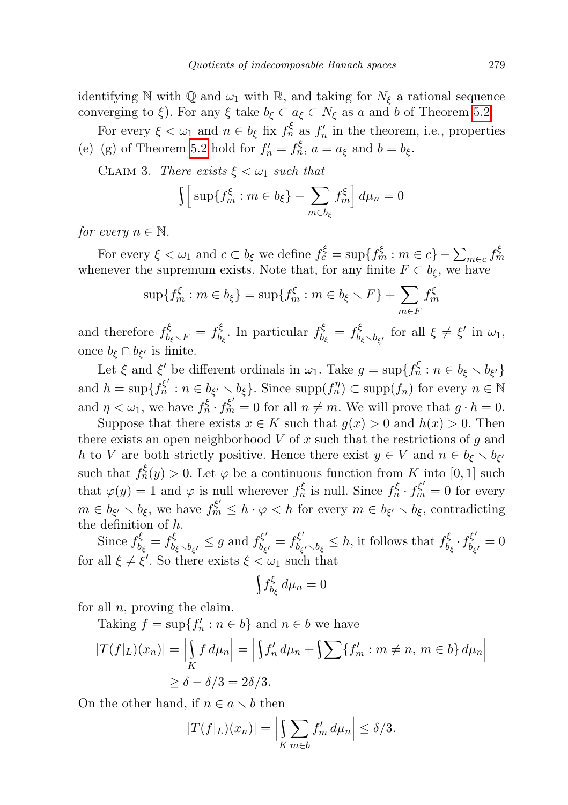identifying N with Q and  $\omega_1$  with R, and taking for  $N_{\xi}$  a rational sequence converging to  $\xi$ ). For any  $\xi$  take  $b_{\xi} \subset a_{\xi} \subset N_{\xi}$  as a and b of Theorem [5.2.](#page-13-0)

For every  $\xi < \omega_1$  and  $n \in b_{\xi}$  fix  $f_n^{\xi}$  as  $f_n'$  in the theorem, i.e., properties (e)–(g) of Theorem [5.2](#page-13-0) hold for  $f'_n = f^{\xi}_n$ ,  $a = a_{\xi}$  and  $b = b_{\xi}$ .

CLAIM 3. There exists  $\xi < \omega_1$  such that

$$
\int \left[ \sup \{ f_m^{\xi} : m \in b_{\xi} \} - \sum_{m \in b_{\xi}} f_m^{\xi} \right] d\mu_n = 0
$$

for every  $n \in \mathbb{N}$ .

For every  $\xi < \omega_1$  and  $c \subset b_{\xi}$  we define  $f_c^{\xi} = \sup\{f_m^{\xi} : m \in c\} - \sum_{m \in c} f_m^{\xi}$ whenever the supremum exists. Note that, for any finite  $F \subset b_{\xi}$ , we have

$$
\sup\{f_m^{\xi} : m \in b_{\xi}\} = \sup\{f_m^{\xi} : m \in b_{\xi} \setminus F\} + \sum_{m \in F} f_m^{\xi}
$$

and therefore  $f_{b_{\xi} \setminus F}^{\xi} = f_{b_{\xi}}^{\xi}$  $b_{\xi}^{\xi}$ . In particular  $f_{b}^{\xi}$  $\mathcal{L}_{b_{\xi}}^{\xi} = f_{b_{\xi} \setminus b_{\xi'}}^{\xi}$  for all  $\xi \neq \xi'$  in  $\omega_1$ , once  $b_{\xi} \cap b_{\xi'}$  is finite.

Let  $\xi$  and  $\xi'$  be different ordinals in  $\omega_1$ . Take  $g = \sup\{f_n^{\xi} : n \in b_{\xi} \setminus b_{\xi'}\}$ and  $h = \sup\{f_n^{\xi'} : n \in b_{\xi'} \setminus b_{\xi}\}\.$  Since  $\supp(f_n^{\eta}) \subset \supp(f_n)$  for every  $n \in \mathbb{N}$ and  $\eta < \omega_1$ , we have  $f_n^{\xi} \cdot f_m^{\xi'} = 0$  for all  $n \neq m$ . We will prove that  $g \cdot h = 0$ .

Suppose that there exists  $x \in K$  such that  $g(x) > 0$  and  $h(x) > 0$ . Then there exists an open neighborhood  $V$  of x such that the restrictions of g and h to V are both strictly positive. Hence there exist  $y \in V$  and  $n \in b_{\xi} \setminus b_{\xi'}$ such that  $f_n^{\xi}(y) > 0$ . Let  $\varphi$  be a continuous function from K into [0, 1] such that  $\varphi(y) = 1$  and  $\varphi$  is null wherever  $f_n^{\xi}$  is null. Since  $f_n^{\xi} \cdot f_m^{\xi'} = 0$  for every  $m \in b_{\xi'} \setminus b_{\xi}$ , we have  $f_m^{\xi'} \leq h \cdot \varphi < h$  for every  $m \in b_{\xi'} \setminus b_{\xi}$ , contradicting the definition of h.

Since  $f_h^{\xi}$  $b_{\xi}^{\xi} = f_{b_{\xi} \setminus b_{\xi'}}^{\xi} \leq g$  and  $f_{b_{\xi}}^{\xi'}$  $b_{\xi'}^{\xi'} = f_{b_{\xi}}^{\xi'}$  $b_{\xi'}b_{\xi'} b_{\xi} \leq h$ , it follows that  $f_{b_{\xi}}^{\xi}$  $b_{\xi}^{\xi} \cdot f_{b_{\xi}}^{\xi'}$  $b_{\xi'}^{\xi} = 0$ for all  $\xi \neq \xi'$ . So there exists  $\xi < \omega_1$  such that

$$
\int f_{b_{\xi}}^{\xi}\,d\mu_n=0
$$

for all  $n$ , proving the claim.

Taking  $f = \sup\{f'_n : n \in b\}$  and  $n \in b$  we have

$$
|T(f|_L)(x_n)| = \left| \int_K f d\mu_n \right| = \left| \int f'_n d\mu_n + \int \sum \{f'_m : m \neq n, m \in b\} d\mu_n \right|
$$
  
\n
$$
\geq \delta - \delta/3 = 2\delta/3.
$$

On the other hand, if  $n \in a \setminus b$  then

$$
|T(f|_L)(x_n)| = \left|\int\limits_{K} \sum_{m \in b} f'_m \, d\mu_n\right| \le \delta/3.
$$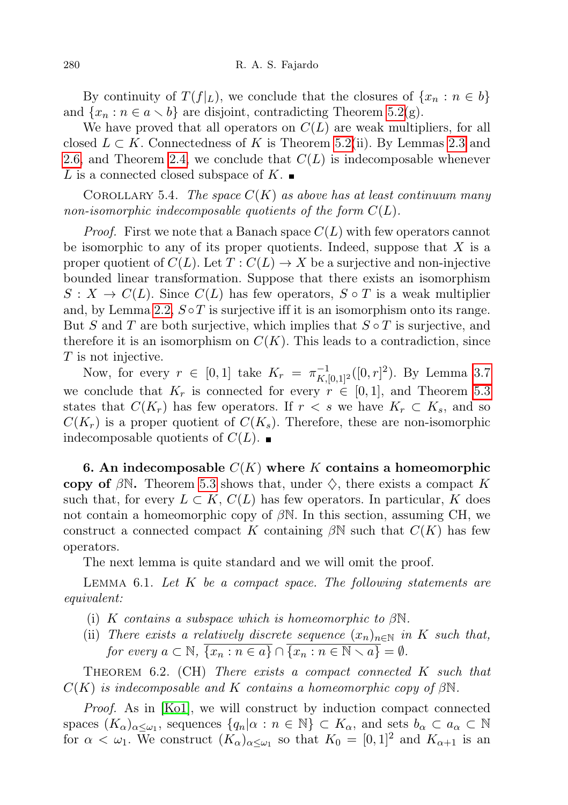By continuity of  $T(f|_L)$ , we conclude that the closures of  $\{x_n : n \in b\}$ and  $\{x_n : n \in a \setminus b\}$  are disjoint, contradicting Theorem [5.2\(](#page-13-0)g).

We have proved that all operators on  $C(L)$  are weak multipliers, for all closed  $L \subset K$ . Connectedness of K is Theorem [5.2\(](#page-13-0)ii). By Lemmas [2.3](#page-1-0) and [2.6,](#page-2-0) and Theorem [2.4,](#page-1-1) we conclude that  $C(L)$  is indecomposable whenever L is a connected closed subspace of K.

COROLLARY 5.4. The space  $C(K)$  as above has at least continuum many non-isomorphic indecomposable quotients of the form  $C(L)$ .

*Proof.* First we note that a Banach space  $C(L)$  with few operators cannot be isomorphic to any of its proper quotients. Indeed, suppose that  $X$  is a proper quotient of  $C(L)$ . Let  $T: C(L) \to X$  be a surjective and non-injective bounded linear transformation. Suppose that there exists an isomorphism  $S: X \to C(L)$ . Since  $C(L)$  has few operators,  $S \circ T$  is a weak multiplier and, by Lemma [2.2,](#page-1-2)  $S \circ T$  is surjective iff it is an isomorphism onto its range. But S and T are both surjective, which implies that  $S \circ T$  is surjective, and therefore it is an isomorphism on  $C(K)$ . This leads to a contradiction, since T is not injective.

Now, for every  $r \in [0,1]$  take  $K_r = \pi_{K,[0,1]^2}^{-1}([0,r]^2)$ . By Lemma [3.7](#page-4-1) we conclude that  $K_r$  is connected for every  $r \in [0,1]$ , and Theorem [5.3](#page-18-0) states that  $C(K_r)$  has few operators. If  $r < s$  we have  $K_r \subset K_s$ , and so  $C(K_r)$  is a proper quotient of  $C(K_s)$ . Therefore, these are non-isomorphic indecomposable quotients of  $C(L)$ .

6. An indecomposable  $C(K)$  where K contains a homeomorphic copy of  $\beta N$ . Theorem [5.3](#page-18-0) shows that, under  $\diamondsuit$ , there exists a compact K such that, for every  $L \subset K$ ,  $C(L)$  has few operators. In particular, K does not contain a homeomorphic copy of  $\beta N$ . In this section, assuming CH, we construct a connected compact K containing  $\beta N$  such that  $C(K)$  has few operators.

The next lemma is quite standard and we will omit the proof.

<span id="page-21-0"></span>LEMMA 6.1. Let  $K$  be a compact space. The following statements are equivalent:

- (i) K contains a subspace which is homeomorphic to  $\beta N$ .
- (ii) There exists a relatively discrete sequence  $(x_n)_{n\in\mathbb{N}}$  in K such that, for every  $a \subset \mathbb{N}$ ,  $\overline{\{x_n : n \in a\}} \cap \overline{\{x_n : n \in \mathbb{N} \setminus a\}} = \emptyset$ .

<span id="page-21-1"></span>THEOREM  $6.2.$  (CH) There exists a compact connected K such that  $C(K)$  is indecomposable and K contains a homeomorphic copy of  $\beta\mathbb{N}$ .

Proof. As in [\[Ko1\]](#page-24-2), we will construct by induction compact connected spaces  $(K_{\alpha})_{\alpha \leq \omega_1}$ , sequences  $\{q_n | \alpha : n \in \mathbb{N}\}\subset K_{\alpha}$ , and sets  $b_{\alpha} \subset a_{\alpha} \subset \mathbb{N}$ for  $\alpha < \omega_1$ . We construct  $(K_\alpha)_{\alpha \leq \omega_1}$  so that  $K_0 = [0,1]^2$  and  $K_{\alpha+1}$  is an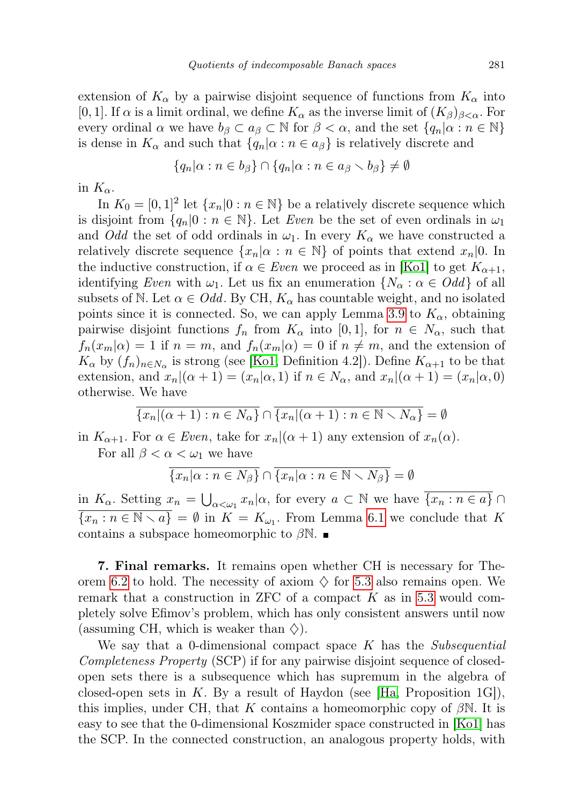extension of  $K_{\alpha}$  by a pairwise disjoint sequence of functions from  $K_{\alpha}$  into [0, 1]. If  $\alpha$  is a limit ordinal, we define  $K_{\alpha}$  as the inverse limit of  $(K_{\beta})_{\beta<\alpha}$ . For every ordinal  $\alpha$  we have  $b_{\beta} \subset a_{\beta} \subset \mathbb{N}$  for  $\beta < \alpha$ , and the set  $\{q_n | \alpha : n \in \mathbb{N}\}\$ is dense in  $K_{\alpha}$  and such that  $\{q_n | \alpha : n \in a_{\beta}\}\$ is relatively discrete and

$$
\{q_n|\alpha:n\in b_{\beta}\}\cap\{q_n|\alpha:n\in a_{\beta}\smallsetminus b_{\beta}\}\neq\emptyset
$$

in  $K_{\alpha}$ .

In  $K_0 = [0, 1]^2$  let  $\{x_n | 0 : n \in \mathbb{N}\}\$  be a relatively discrete sequence which is disjoint from  $\{q_n|0: n \in \mathbb{N}\}\.$  Let Even be the set of even ordinals in  $\omega_1$ and *Odd* the set of odd ordinals in  $\omega_1$ . In every  $K_\alpha$  we have constructed a relatively discrete sequence  $\{x_n | \alpha : n \in \mathbb{N}\}\$  of points that extend  $x_n | 0$ . In the inductive construction, if  $\alpha \in Even$  we proceed as in [\[Ko1\]](#page-24-2) to get  $K_{\alpha+1}$ , identifying Even with  $\omega_1$ . Let us fix an enumeration  $\{N_\alpha : \alpha \in Odd\}$  of all subsets of N. Let  $\alpha \in Odd$ . By CH,  $K_{\alpha}$  has countable weight, and no isolated points since it is connected. So, we can apply Lemma [3.9](#page-6-0) to  $K_{\alpha}$ , obtaining pairwise disjoint functions  $f_n$  from  $K_\alpha$  into [0, 1], for  $n \in N_\alpha$ , such that  $f_n(x_m|\alpha) = 1$  if  $n = m$ , and  $f_n(x_m|\alpha) = 0$  if  $n \neq m$ , and the extension of  $K_{\alpha}$  by  $(f_n)_{n \in N_{\alpha}}$  is strong (see [\[Ko1,](#page-24-2) Definition 4.2]). Define  $K_{\alpha+1}$  to be that extension, and  $x_n|(\alpha + 1) = (x_n|\alpha, 1)$  if  $n \in N_\alpha$ , and  $x_n|(\alpha + 1) = (x_n|\alpha, 0)$ otherwise. We have

$$
\overline{\{x_n|(\alpha+1) : n \in N_{\alpha}\}} \cap \overline{\{x_n|(\alpha+1) : n \in \mathbb{N} \setminus N_{\alpha}\}} = \emptyset
$$

in  $K_{\alpha+1}$ . For  $\alpha \in Even$ , take for  $x_n | (\alpha+1)$  any extension of  $x_n(\alpha)$ .

For all  $\beta < \alpha < \omega_1$  we have

$$
\overline{\{x_n|\alpha : n \in N_\beta\}} \cap \overline{\{x_n|\alpha : n \in \mathbb{N} \setminus N_\beta\}} = \emptyset
$$

in  $K_{\alpha}$ . Setting  $x_n = \bigcup_{\alpha < \omega_1} x_n | \alpha$ , for every  $a \subset \mathbb{N}$  we have  $\overline{\{x_n : n \in a\}} \cap$  $\overline{\{x_n : n \in \mathbb{N} \setminus a\}} = \emptyset$  in  $K = K_{\omega_1}$ . From Lemma [6.1](#page-21-0) we conclude that K contains a subspace homeomorphic to  $\beta N$ .

7. Final remarks. It remains open whether CH is necessary for The-orem [6.2](#page-21-1) to hold. The necessity of axiom  $\diamondsuit$  for [5.3](#page-18-0) also remains open. We remark that a construction in ZFC of a compact  $K$  as in [5.3](#page-18-0) would completely solve Efimov's problem, which has only consistent answers until now (assuming CH, which is weaker than  $\Diamond$ ).

We say that a 0-dimensional compact space  $K$  has the *Subsequential* Completeness Property (SCP) if for any pairwise disjoint sequence of closedopen sets there is a subsequence which has supremum in the algebra of closed-open sets in K. By a result of Haydon (see  $[Ha, Proposition 1G]$  $[Ha, Proposition 1G]$ ), this implies, under CH, that K contains a homeomorphic copy of  $\beta$ N. It is easy to see that the 0-dimensional Koszmider space constructed in [\[Ko1\]](#page-24-2) has the SCP. In the connected construction, an analogous property holds, with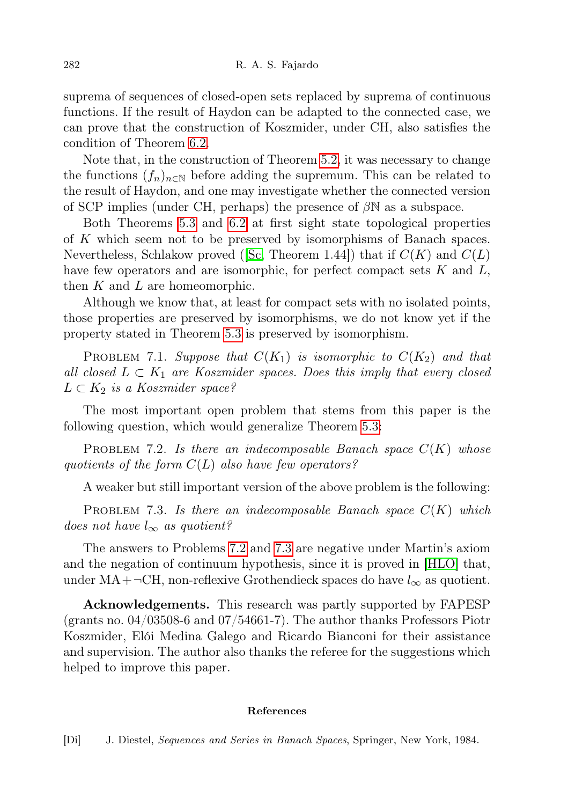suprema of sequences of closed-open sets replaced by suprema of continuous functions. If the result of Haydon can be adapted to the connected case, we can prove that the construction of Koszmider, under CH, also satisfies the condition of Theorem [6.2.](#page-21-1)

Note that, in the construction of Theorem [5.2,](#page-13-0) it was necessary to change the functions  $(f_n)_{n\in\mathbb{N}}$  before adding the supremum. This can be related to the result of Haydon, and one may investigate whether the connected version of SCP implies (under CH, perhaps) the presence of  $\beta N$  as a subspace.

Both Theorems [5.3](#page-18-0) and [6.2](#page-21-1) at first sight state topological properties of K which seem not to be preserved by isomorphisms of Banach spaces. Nevertheless, Schlakow proved ([\[Sc,](#page-24-6) Theorem 1.44]) that if  $C(K)$  and  $C(L)$ have few operators and are isomorphic, for perfect compact sets  $K$  and  $L$ , then  $K$  and  $L$  are homeomorphic.

Although we know that, at least for compact sets with no isolated points, those properties are preserved by isomorphisms, we do not know yet if the property stated in Theorem [5.3](#page-18-0) is preserved by isomorphism.

PROBLEM 7.1. Suppose that  $C(K_1)$  is isomorphic to  $C(K_2)$  and that all closed  $L \subset K_1$  are Koszmider spaces. Does this imply that every closed  $L \subset K_2$  is a Koszmider space?

The most important open problem that stems from this paper is the following question, which would generalize Theorem [5.3:](#page-18-0)

<span id="page-23-1"></span>PROBLEM 7.2. Is there an indecomposable Banach space  $C(K)$  whose quotients of the form  $C(L)$  also have few operators?

A weaker but still important version of the above problem is the following:

<span id="page-23-2"></span>PROBLEM 7.3. Is there an indecomposable Banach space  $C(K)$  which does not have  $l_{\infty}$  as quotient?

The answers to Problems [7.2](#page-23-1) and [7.3](#page-23-2) are negative under Martin's axiom and the negation of continuum hypothesis, since it is proved in [\[HLO\]](#page-24-15) that, under MA+¬CH, non-reflexive Grothendieck spaces do have  $l_{\infty}$  as quotient.

<span id="page-23-0"></span>Acknowledgements. This research was partly supported by FAPESP (grants no. 04/03508-6 and 07/54661-7). The author thanks Professors Piotr Koszmider, Elói Medina Galego and Ricardo Bianconi for their assistance and supervision. The author also thanks the referee for the suggestions which helped to improve this paper.

## References